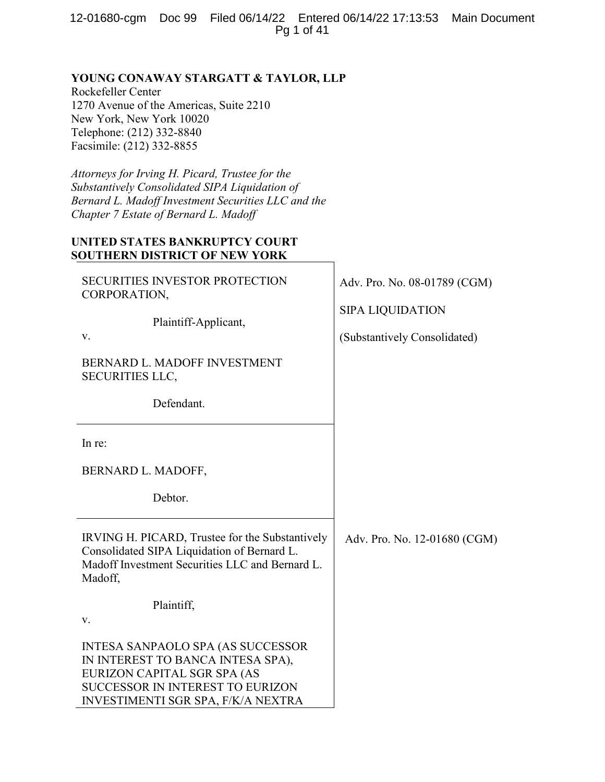12-01680-cgm Doc 99 Filed 06/14/22 Entered 06/14/22 17:13:53 Main Document Pg 1 of 41

# **YOUNG CONAWAY STARGATT & TAYLOR, LLP**

Rockefeller Center 1270 Avenue of the Americas, Suite 2210 New York, New York 10020 Telephone: (212) 332-8840 Facsimile: (212) 332-8855

*Attorneys for Irving H. Picard, Trustee for the Substantively Consolidated SIPA Liquidation of Bernard L. Madoff Investment Securities LLC and the Chapter 7 Estate of Bernard L. Madoff*

# **UNITED STATES BANKRUPTCY COURT SOUTHERN DISTRICT OF NEW YORK**

| <b>SECURITIES INVESTOR PROTECTION</b><br>CORPORATION,                                                                                                                                         | Adv. Pro. No. 08-01789 (CGM) |  |
|-----------------------------------------------------------------------------------------------------------------------------------------------------------------------------------------------|------------------------------|--|
| Plaintiff-Applicant,                                                                                                                                                                          | <b>SIPA LIQUIDATION</b>      |  |
| V.                                                                                                                                                                                            | (Substantively Consolidated) |  |
| BERNARD L. MADOFF INVESTMENT<br><b>SECURITIES LLC,</b>                                                                                                                                        |                              |  |
| Defendant.                                                                                                                                                                                    |                              |  |
| In re:                                                                                                                                                                                        |                              |  |
| BERNARD L. MADOFF,                                                                                                                                                                            |                              |  |
| Debtor.                                                                                                                                                                                       |                              |  |
| IRVING H. PICARD, Trustee for the Substantively<br>Consolidated SIPA Liquidation of Bernard L.<br>Madoff Investment Securities LLC and Bernard L.<br>Madoff,                                  | Adv. Pro. No. 12-01680 (CGM) |  |
| Plaintiff,                                                                                                                                                                                    |                              |  |
| V.                                                                                                                                                                                            |                              |  |
| <b>INTESA SANPAOLO SPA (AS SUCCESSOR</b><br>IN INTEREST TO BANCA INTESA SPA),<br>EURIZON CAPITAL SGR SPA (AS<br><b>SUCCESSOR IN INTEREST TO EURIZON</b><br>INVESTIMENTI SGR SPA, F/K/A NEXTRA |                              |  |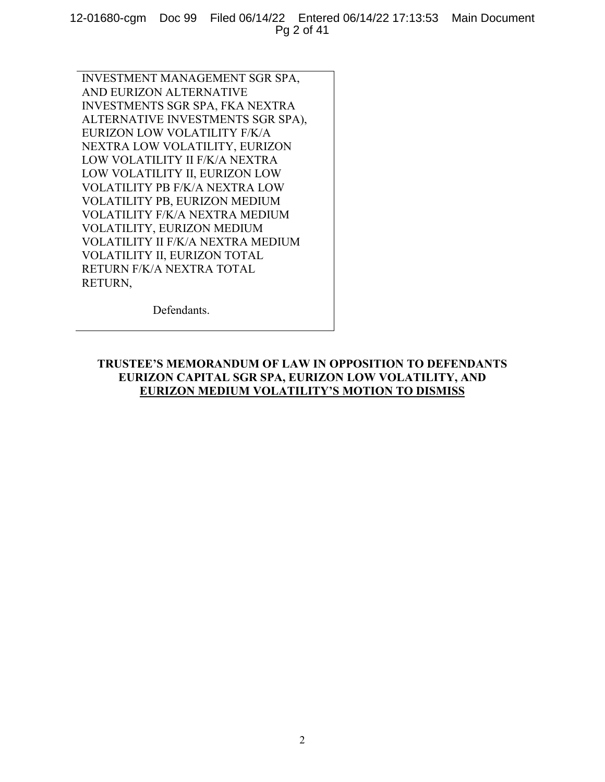12-01680-cgm Doc 99 Filed 06/14/22 Entered 06/14/22 17:13:53 Main Document Pg 2 of 41

INVESTMENT MANAGEMENT SGR SPA, AND EURIZON ALTERNATIVE INVESTMENTS SGR SPA, FKA NEXTRA ALTERNATIVE INVESTMENTS SGR SPA), EURIZON LOW VOLATILITY F/K/A NEXTRA LOW VOLATILITY, EURIZON LOW VOLATILITY II F/K/A NEXTRA LOW VOLATILITY II, EURIZON LOW VOLATILITY PB F/K/A NEXTRA LOW VOLATILITY PB, EURIZON MEDIUM VOLATILITY F/K/A NEXTRA MEDIUM VOLATILITY, EURIZON MEDIUM VOLATILITY II F/K/A NEXTRA MEDIUM VOLATILITY II, EURIZON TOTAL RETURN F/K/A NEXTRA TOTAL RETURN,

Defendants.

## **TRUSTEE'S MEMORANDUM OF LAW IN OPPOSITION TO DEFENDANTS EURIZON CAPITAL SGR SPA, EURIZON LOW VOLATILITY, AND EURIZON MEDIUM VOLATILITY'S MOTION TO DISMISS**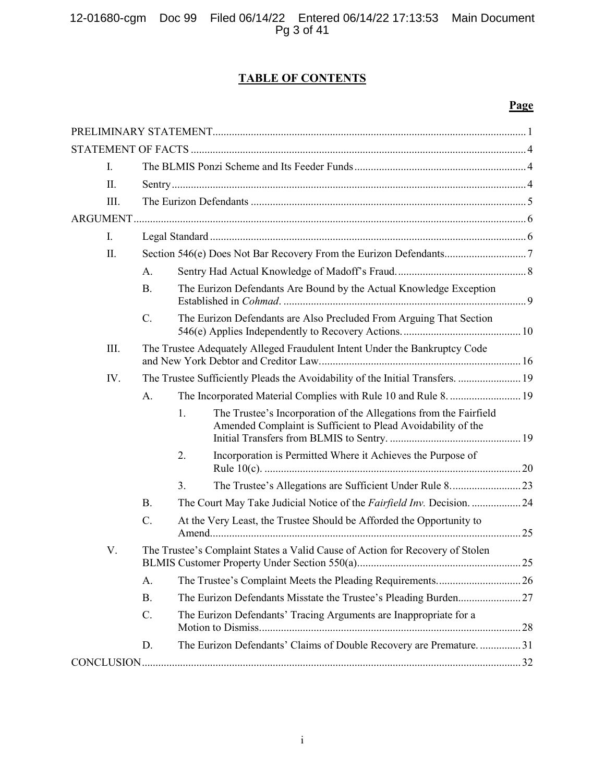12-01680-cgm Doc 99 Filed 06/14/22 Entered 06/14/22 17:13:53 Main Document Pg 3 of 41

# **TABLE OF CONTENTS**

# **Page**

| I.   |                 |    |                                                                                                                                   |    |
|------|-----------------|----|-----------------------------------------------------------------------------------------------------------------------------------|----|
| II.  |                 |    |                                                                                                                                   |    |
| Ш.   |                 |    |                                                                                                                                   |    |
|      |                 |    |                                                                                                                                   |    |
| L.   |                 |    |                                                                                                                                   |    |
| II.  |                 |    |                                                                                                                                   |    |
|      | А.              |    |                                                                                                                                   |    |
|      | <b>B.</b>       |    | The Eurizon Defendants Are Bound by the Actual Knowledge Exception                                                                |    |
|      | $\mathcal{C}$ . |    | The Eurizon Defendants are Also Precluded From Arguing That Section                                                               |    |
| III. |                 |    | The Trustee Adequately Alleged Fraudulent Intent Under the Bankruptcy Code                                                        |    |
| IV.  |                 |    | The Trustee Sufficiently Pleads the Avoidability of the Initial Transfers.  19                                                    |    |
|      | A.              |    | The Incorporated Material Complies with Rule 10 and Rule 8.  19                                                                   |    |
|      |                 | 1. | The Trustee's Incorporation of the Allegations from the Fairfield<br>Amended Complaint is Sufficient to Plead Avoidability of the |    |
|      |                 | 2. | Incorporation is Permitted Where it Achieves the Purpose of                                                                       |    |
|      |                 | 3. |                                                                                                                                   |    |
|      | <b>B.</b>       |    | The Court May Take Judicial Notice of the Fairfield Inv. Decision. 24                                                             |    |
|      | C.              |    | At the Very Least, the Trustee Should be Afforded the Opportunity to                                                              |    |
| V.   |                 |    | The Trustee's Complaint States a Valid Cause of Action for Recovery of Stolen                                                     | 25 |
|      | А.              |    |                                                                                                                                   |    |
|      | <b>B.</b>       |    |                                                                                                                                   |    |
|      | C.              |    | The Eurizon Defendants' Tracing Arguments are Inappropriate for a                                                                 |    |
|      | D.              |    | The Eurizon Defendants' Claims of Double Recovery are Premature31                                                                 |    |
|      |                 |    |                                                                                                                                   |    |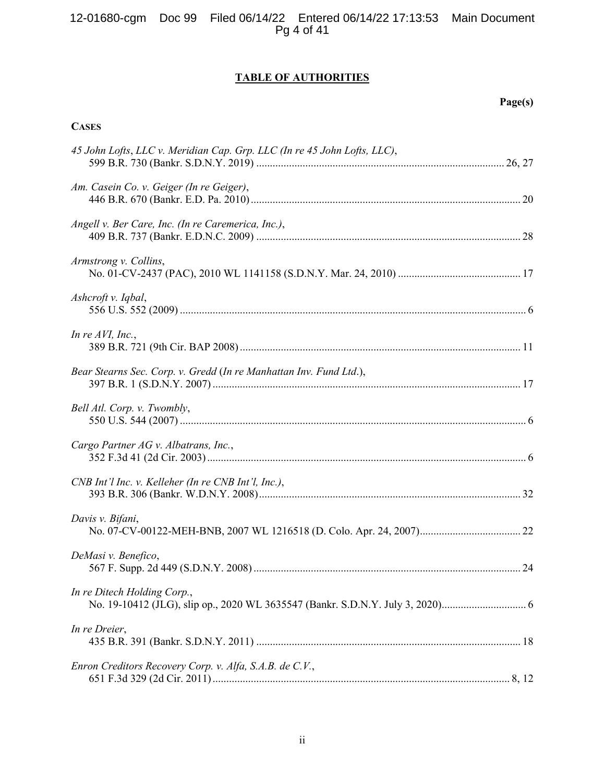## 12-01680-cgm Doc 99 Filed 06/14/22 Entered 06/14/22 17:13:53 Main Document Pg 4 of 41

# **TABLE OF AUTHORITIES**

**Page(s)**

## **CASES**

| 45 John Lofts, LLC v. Meridian Cap. Grp. LLC (In re 45 John Lofts, LLC), |
|--------------------------------------------------------------------------|
| Am. Casein Co. v. Geiger (In re Geiger),                                 |
| Angell v. Ber Care, Inc. (In re Caremerica, Inc.),                       |
| Armstrong v. Collins,                                                    |
| Ashcroft v. Iqbal,                                                       |
| In re $AVI$ , Inc.,                                                      |
| Bear Stearns Sec. Corp. v. Gredd (In re Manhattan Inv. Fund Ltd.),       |
| Bell Atl. Corp. v. Twombly,                                              |
| Cargo Partner AG v. Albatrans, Inc.,                                     |
| CNB Int'l Inc. v. Kelleher (In re CNB Int'l, Inc.),                      |
| Davis v. Bifani,                                                         |
| DeMasi v. Benefico,                                                      |
| In re Ditech Holding Corp.,                                              |
| In re Dreier,                                                            |
| Enron Creditors Recovery Corp. v. Alfa, S.A.B. de C.V.,                  |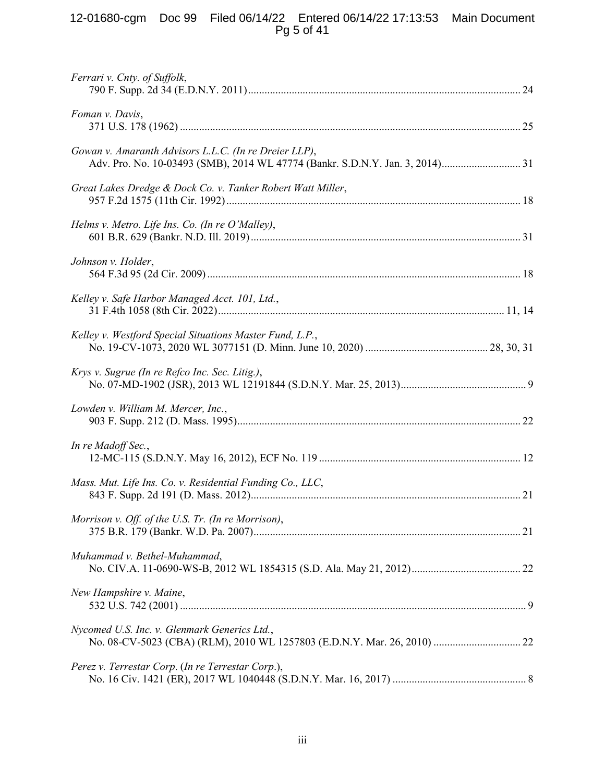## 12-01680-cgm Doc 99 Filed 06/14/22 Entered 06/14/22 17:13:53 Main Document Pg 5 of 41

| Ferrari v. Cnty. of Suffolk,                                |  |
|-------------------------------------------------------------|--|
| Foman v. Davis,                                             |  |
| Gowan v. Amaranth Advisors L.L.C. (In re Dreier LLP),       |  |
| Great Lakes Dredge & Dock Co. v. Tanker Robert Watt Miller, |  |
| Helms v. Metro. Life Ins. Co. (In re O'Malley),             |  |
| Johnson v. Holder,                                          |  |
| Kelley v. Safe Harbor Managed Acct. 101, Ltd.,              |  |
| Kelley v. Westford Special Situations Master Fund, L.P.,    |  |
| Krys v. Sugrue (In re Refco Inc. Sec. Litig.),              |  |
| Lowden v. William M. Mercer, Inc.,                          |  |
| In re Madoff Sec.,                                          |  |
| Mass. Mut. Life Ins. Co. v. Residential Funding Co., LLC,   |  |
| Morrison v. Off. of the U.S. Tr. (In re Morrison),          |  |
| Muhammad v. Bethel-Muhammad,                                |  |
| New Hampshire v. Maine,                                     |  |
| Nycomed U.S. Inc. v. Glenmark Generics Ltd.,                |  |
| Perez v. Terrestar Corp. (In re Terrestar Corp.),           |  |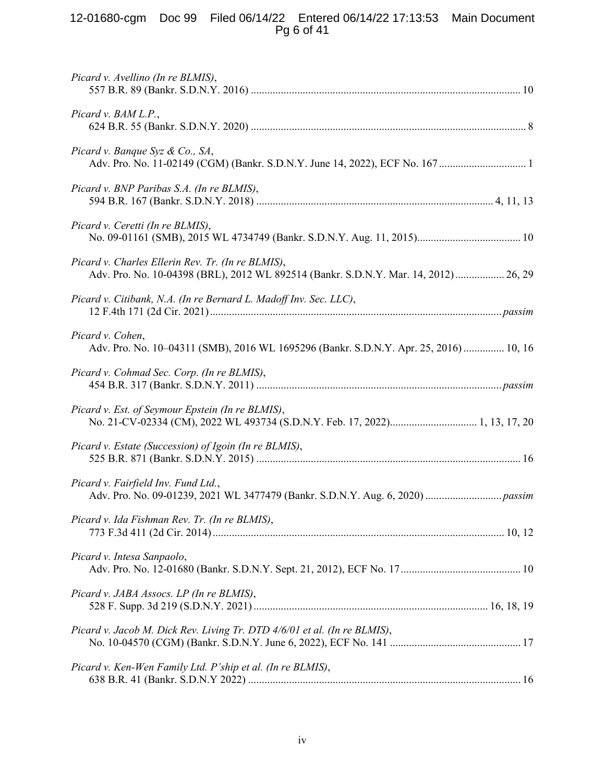## 12-01680-cgm Doc 99 Filed 06/14/22 Entered 06/14/22 17:13:53 Main Document Pg 6 of 41

| Picard v. Avellino (In re BLMIS),                                                                                                         |
|-------------------------------------------------------------------------------------------------------------------------------------------|
| Picard v. BAM L.P.,                                                                                                                       |
| Picard v. Banque Syz & Co., SA,                                                                                                           |
| Picard v. BNP Paribas S.A. (In re BLMIS),                                                                                                 |
| Picard v. Ceretti (In re BLMIS),                                                                                                          |
| Picard v. Charles Ellerin Rev. Tr. (In re BLMIS),<br>Adv. Pro. No. 10-04398 (BRL), 2012 WL 892514 (Bankr. S.D.N.Y. Mar. 14, 2012)  26, 29 |
| Picard v. Citibank, N.A. (In re Bernard L. Madoff Inv. Sec. LLC),                                                                         |
| Picard v. Cohen,<br>Adv. Pro. No. 10-04311 (SMB), 2016 WL 1695296 (Bankr. S.D.N.Y. Apr. 25, 2016)  10, 16                                 |
| Picard v. Cohmad Sec. Corp. (In re BLMIS),                                                                                                |
| Picard v. Est. of Seymour Epstein (In re BLMIS),                                                                                          |
| Picard v. Estate (Succession) of Igoin (In re BLMIS),                                                                                     |
| Picard v. Fairfield Inv. Fund Ltd.,                                                                                                       |
| Picard v. Ida Fishman Rev. Tr. (In re BLMIS),                                                                                             |
| Picard v. Intesa Sanpaolo,                                                                                                                |
| Picard v. JABA Assocs. LP (In re BLMIS),                                                                                                  |
| Picard v. Jacob M. Dick Rev. Living Tr. DTD 4/6/01 et al. (In re BLMIS),                                                                  |
| Picard v. Ken-Wen Family Ltd. P'ship et al. (In re BLMIS),                                                                                |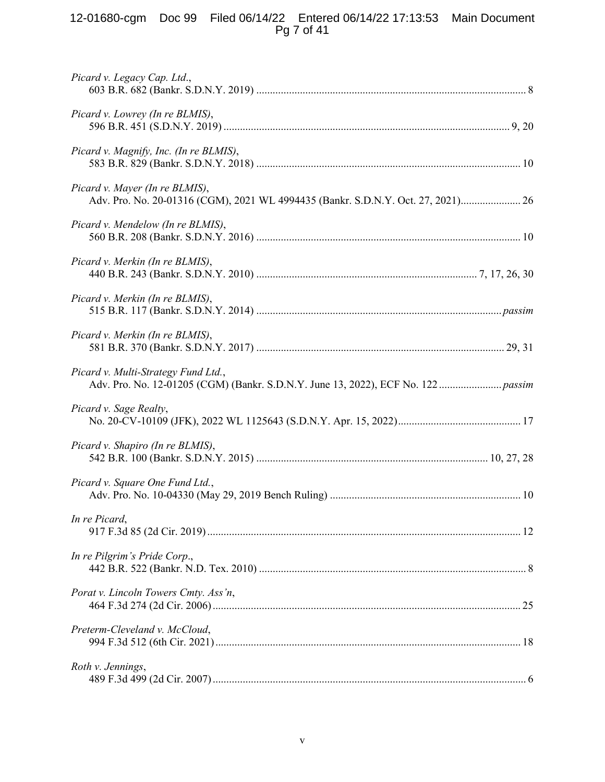## 12-01680-cgm Doc 99 Filed 06/14/22 Entered 06/14/22 17:13:53 Main Document Pg 7 of 41

| Picard v. Legacy Cap. Ltd.,                                                                                        |  |
|--------------------------------------------------------------------------------------------------------------------|--|
| Picard v. Lowrey (In re BLMIS),                                                                                    |  |
| Picard v. Magnify, Inc. (In re BLMIS),                                                                             |  |
| Picard v. Mayer (In re BLMIS),<br>Adv. Pro. No. 20-01316 (CGM), 2021 WL 4994435 (Bankr. S.D.N.Y. Oct. 27, 2021) 26 |  |
| Picard v. Mendelow (In re BLMIS),                                                                                  |  |
| Picard v. Merkin (In re BLMIS),                                                                                    |  |
| Picard v. Merkin (In re BLMIS),                                                                                    |  |
| Picard v. Merkin (In re BLMIS),                                                                                    |  |
| Picard v. Multi-Strategy Fund Ltd.,                                                                                |  |
| Picard v. Sage Realty,                                                                                             |  |
| Picard v. Shapiro (In re BLMIS),                                                                                   |  |
| Picard v. Square One Fund Ltd.,                                                                                    |  |
| In re Picard,                                                                                                      |  |
| In re Pilgrim's Pride Corp.,                                                                                       |  |
| Porat v. Lincoln Towers Cmty. Ass'n,                                                                               |  |
| Preterm-Cleveland v. McCloud,                                                                                      |  |
| Roth v. Jennings,                                                                                                  |  |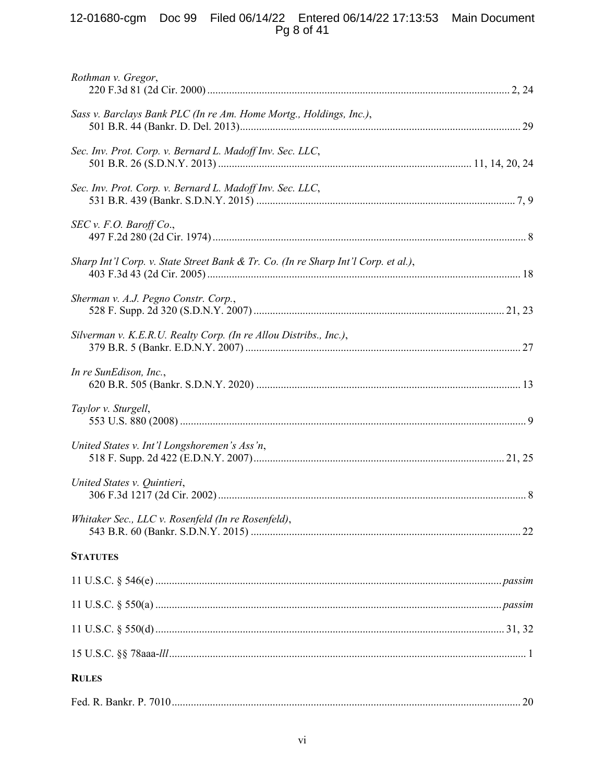# 12-01680-cgm Doc 99 Filed 06/14/22 Entered 06/14/22 17:13:53 Main Document<br>Pg 8 of 41

| Rothman v. Gregor,                                                                 |  |
|------------------------------------------------------------------------------------|--|
| Sass v. Barclays Bank PLC (In re Am. Home Mortg., Holdings, Inc.),                 |  |
| Sec. Inv. Prot. Corp. v. Bernard L. Madoff Inv. Sec. LLC,                          |  |
| Sec. Inv. Prot. Corp. v. Bernard L. Madoff Inv. Sec. LLC,                          |  |
| SEC v. F.O. Baroff Co.                                                             |  |
| Sharp Int'l Corp. v. State Street Bank & Tr. Co. (In re Sharp Int'l Corp. et al.), |  |
| Sherman v. A.J. Pegno Constr. Corp.,                                               |  |
| Silverman v. K.E.R.U. Realty Corp. (In re Allou Distribs., Inc.),                  |  |
| In re SunEdison, Inc.,                                                             |  |
| Taylor v. Sturgell,                                                                |  |
| United States v. Int'l Longshoremen's Ass'n,                                       |  |
| United States v. Quintieri,                                                        |  |
| Whitaker Sec., LLC v. Rosenfeld (In re Rosenfeld),                                 |  |
| <b>STATUTES</b>                                                                    |  |
|                                                                                    |  |
|                                                                                    |  |
|                                                                                    |  |
|                                                                                    |  |
| <b>RULES</b>                                                                       |  |
|                                                                                    |  |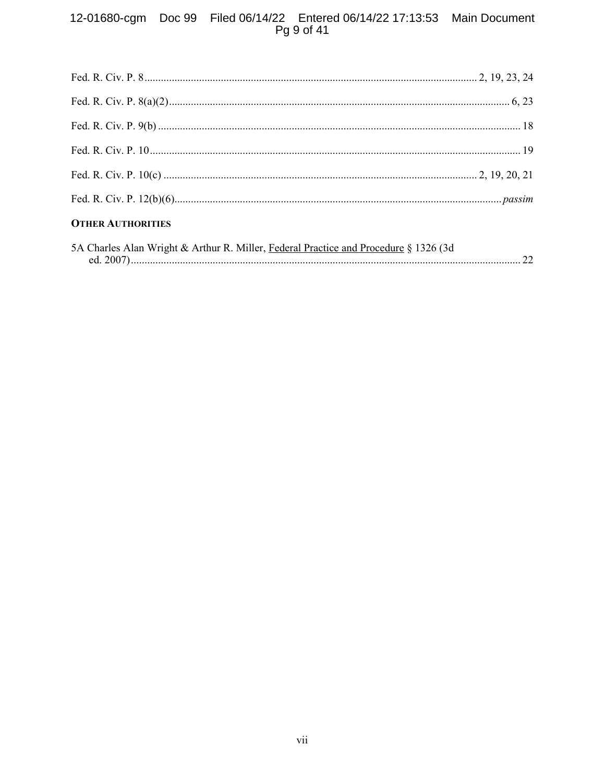# 12-01680-cgm Doc 99 Filed 06/14/22 Entered 06/14/22 17:13:53 Main Document<br>Pg 9 of 41

| <b>OTHER AUTHORITIES</b>                                                             |  |
|--------------------------------------------------------------------------------------|--|
| 5A Charles Alan Wright & Arthur R. Miller, Federal Practice and Procedure § 1326 (3d |  |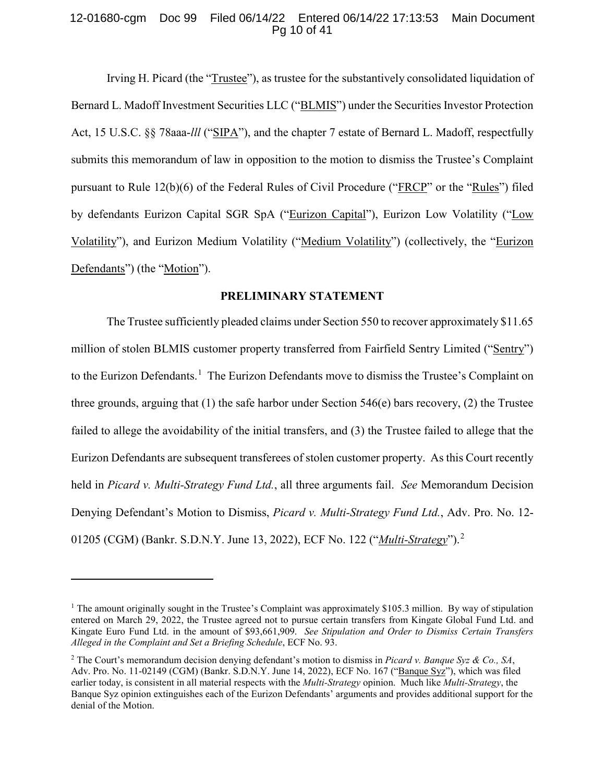## 12-01680-cgm Doc 99 Filed 06/14/22 Entered 06/14/22 17:13:53 Main Document Pg 10 of 41

<span id="page-9-4"></span>Irving H. Picard (the "Trustee"), as trustee for the substantively consolidated liquidation of Bernard L. Madoff Investment Securities LLC ("BLMIS") under the Securities Investor Protection Act, 15 U.S.C. §§ 78aaa-*lll* ("SIPA"), and the chapter 7 estate of Bernard L. Madoff, respectfully submits this memorandum of law in opposition to the motion to dismiss the Trustee's Complaint pursuant to Rule 12(b)(6) of the Federal Rules of Civil Procedure ("FRCP" or the "Rules") filed by defendants Eurizon Capital SGR SpA ("Eurizon Capital"), Eurizon Low Volatility ("Low Volatility"), and Eurizon Medium Volatility ("Medium Volatility") (collectively, the "Eurizon Defendants") (the "Motion").

## <span id="page-9-3"></span><span id="page-9-2"></span><span id="page-9-0"></span>**PRELIMINARY STATEMENT**

The Trustee sufficiently pleaded claims under Section 550 to recover approximately \$11.65 million of stolen BLMIS customer property transferred from Fairfield Sentry Limited ("Sentry") to the Eurizon Defendants.<sup>[1](#page-9-5)</sup> The Eurizon Defendants move to dismiss the Trustee's Complaint on three grounds, arguing that (1) the safe harbor under Section 546(e) bars recovery, (2) the Trustee failed to allege the avoidability of the initial transfers, and (3) the Trustee failed to allege that the Eurizon Defendants are subsequent transferees of stolen customer property. As this Court recently held in *Picard v. Multi-Strategy Fund Ltd.*, all three arguments fail. *See* Memorandum Decision Denying Defendant's Motion to Dismiss, *Picard v. Multi-Strategy Fund Ltd.*, Adv. Pro. No. 12- 01205 (CGM) (Bankr. S.D.N.Y. June 13, 2022), ECF No. 122 ("*Multi-Strategy*").[2](#page-9-6)

<span id="page-9-1"></span> $\overline{a}$ 

<span id="page-9-5"></span><sup>&</sup>lt;sup>1</sup> The amount originally sought in the Trustee's Complaint was approximately \$105.3 million. By way of stipulation entered on March 29, 2022, the Trustee agreed not to pursue certain transfers from Kingate Global Fund Ltd. and Kingate Euro Fund Ltd. in the amount of \$93,661,909. *See Stipulation and Order to Dismiss Certain Transfers Alleged in the Complaint and Set a Briefing Schedule*, ECF No. 93.

<span id="page-9-6"></span><sup>2</sup> The Court's memorandum decision denying defendant's motion to dismiss in *Picard v. Banque Syz & Co., SA*, Adv. Pro. No. 11-02149 (CGM) (Bankr. S.D.N.Y. June 14, 2022), ECF No. 167 ("Banque Syz"), which was filed earlier today, is consistent in all material respects with the *Multi-Strategy* opinion. Much like *Multi-Strategy*, the Banque Syz opinion extinguishes each of the Eurizon Defendants' arguments and provides additional support for the denial of the Motion.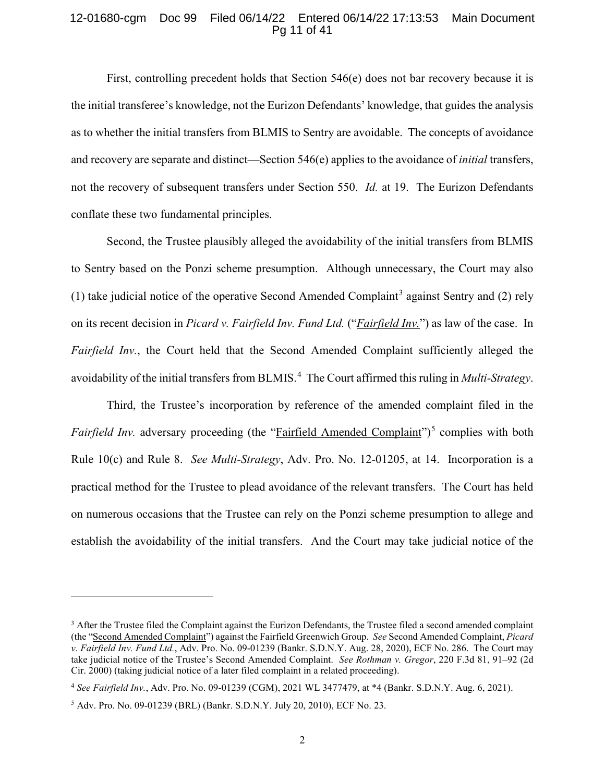#### 12-01680-cgm Doc 99 Filed 06/14/22 Entered 06/14/22 17:13:53 Main Document Pg 11 of 41

First, controlling precedent holds that Section 546(e) does not bar recovery because it is the initial transferee's knowledge, not the Eurizon Defendants' knowledge, that guides the analysis as to whether the initial transfers from BLMIS to Sentry are avoidable. The concepts of avoidance and recovery are separate and distinct—Section 546(e) applies to the avoidance of *initial* transfers, not the recovery of subsequent transfers under Section 550. *Id.* at 19. The Eurizon Defendants conflate these two fundamental principles.

Second, the Trustee plausibly alleged the avoidability of the initial transfers from BLMIS to Sentry based on the Ponzi scheme presumption. Although unnecessary, the Court may also (1) take judicial notice of the operative Second Amended Complaint<sup>[3](#page-10-3)</sup> against Sentry and (2) rely on its recent decision in *Picard v. Fairfield Inv. Fund Ltd.* ("*Fairfield Inv.*") as law of the case. In *Fairfield Inv.*, the Court held that the Second Amended Complaint sufficiently alleged the avoidability of the initial transfers from BLMIS.<sup>[4](#page-10-4)</sup> The Court affirmed this ruling in *Multi-Strategy*.

<span id="page-10-2"></span>Third, the Trustee's incorporation by reference of the amended complaint filed in the *Fairfield Inv.* adversary proceeding (the "Fairfield Amended Complaint")<sup>[5](#page-10-5)</sup> complies with both Rule 10(c) and Rule 8. *See Multi-Strategy*, Adv. Pro. No. 12-01205, at 14. Incorporation is a practical method for the Trustee to plead avoidance of the relevant transfers. The Court has held on numerous occasions that the Trustee can rely on the Ponzi scheme presumption to allege and establish the avoidability of the initial transfers. And the Court may take judicial notice of the

 $\ddot{\phantom{a}}$ 

<span id="page-10-3"></span><span id="page-10-0"></span> $3$  After the Trustee filed the Complaint against the Eurizon Defendants, the Trustee filed a second amended complaint (the "Second Amended Complaint") against the Fairfield Greenwich Group. *See* Second Amended Complaint, *Picard v. Fairfield Inv. Fund Ltd.*, Adv. Pro. No. 09-01239 (Bankr. S.D.N.Y. Aug. 28, 2020), ECF No. 286. The Court may take judicial notice of the Trustee's Second Amended Complaint. *See Rothman v. Gregor*, 220 F.3d 81, 91–92 (2d Cir. 2000) (taking judicial notice of a later filed complaint in a related proceeding).

<span id="page-10-4"></span><span id="page-10-1"></span><sup>4</sup> *See Fairfield Inv.*, Adv. Pro. No. 09-01239 (CGM), 2021 WL 3477479, at \*4 (Bankr. S.D.N.Y. Aug. 6, 2021).

<span id="page-10-5"></span><sup>5</sup> Adv. Pro. No. 09-01239 (BRL) (Bankr. S.D.N.Y. July 20, 2010), ECF No. 23.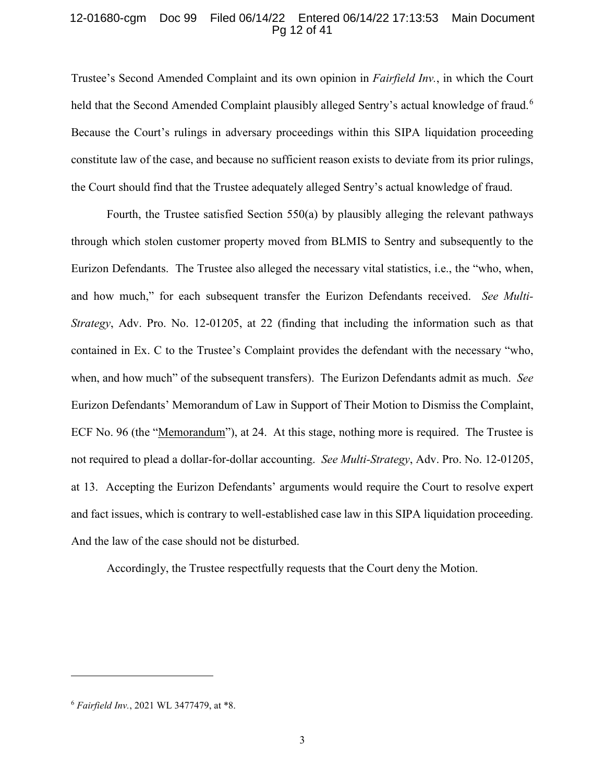## 12-01680-cgm Doc 99 Filed 06/14/22 Entered 06/14/22 17:13:53 Main Document Pg 12 of 41

Trustee's Second Amended Complaint and its own opinion in *Fairfield Inv.*, in which the Court held that the Second Amended Complaint plausibly alleged Sentry's actual knowledge of fraud.<sup>[6](#page-11-1)</sup> Because the Court's rulings in adversary proceedings within this SIPA liquidation proceeding constitute law of the case, and because no sufficient reason exists to deviate from its prior rulings, the Court should find that the Trustee adequately alleged Sentry's actual knowledge of fraud.

<span id="page-11-0"></span>Fourth, the Trustee satisfied Section 550(a) by plausibly alleging the relevant pathways through which stolen customer property moved from BLMIS to Sentry and subsequently to the Eurizon Defendants. The Trustee also alleged the necessary vital statistics, i.e., the "who, when, and how much," for each subsequent transfer the Eurizon Defendants received. *See Multi-Strategy*, Adv. Pro. No. 12-01205, at 22 (finding that including the information such as that contained in Ex. C to the Trustee's Complaint provides the defendant with the necessary "who, when, and how much" of the subsequent transfers). The Eurizon Defendants admit as much. *See* Eurizon Defendants' Memorandum of Law in Support of Their Motion to Dismiss the Complaint, ECF No. 96 (the "Memorandum"), at 24. At this stage, nothing more is required. The Trustee is not required to plead a dollar-for-dollar accounting. *See Multi-Strategy*, Adv. Pro. No. 12-01205, at 13. Accepting the Eurizon Defendants' arguments would require the Court to resolve expert and fact issues, which is contrary to well-established case law in this SIPA liquidation proceeding. And the law of the case should not be disturbed.

Accordingly, the Trustee respectfully requests that the Court deny the Motion.

 $\ddot{\phantom{a}}$ 

<span id="page-11-1"></span><sup>6</sup> *Fairfield Inv.*, 2021 WL 3477479, at \*8.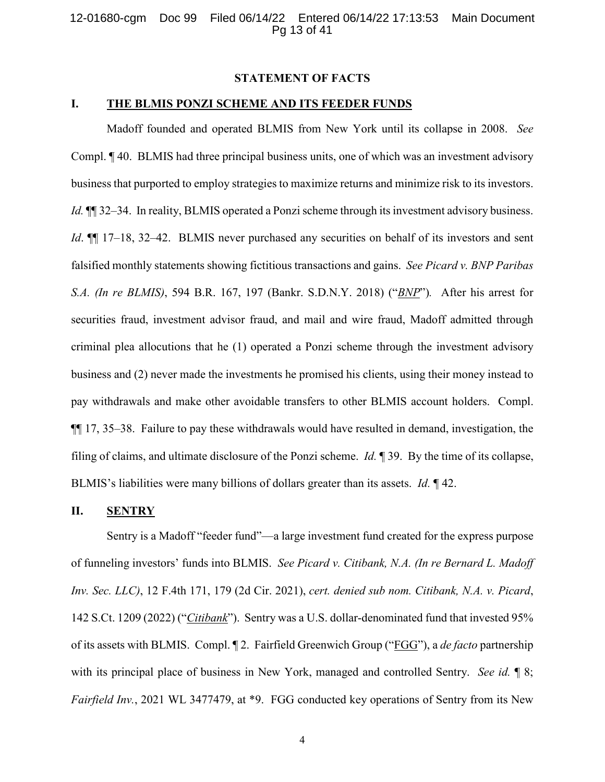## <span id="page-12-0"></span>**STATEMENT OF FACTS**

## **I. THE BLMIS PONZI SCHEME AND ITS FEEDER FUNDS**

Madoff founded and operated BLMIS from New York until its collapse in 2008. *See* Compl. ¶ 40. BLMIS had three principal business units, one of which was an investment advisory business that purported to employ strategies to maximize returns and minimize risk to its investors. *Id.*  $\P$  32–34. In reality, BLMIS operated a Ponzi scheme through its investment advisory business. *Id*.  $\mathbb{I}$  17–18, 32–42. BLMIS never purchased any securities on behalf of its investors and sent falsified monthly statements showing fictitious transactions and gains. *See Picard v. BNP Paribas S.A. (In re BLMIS)*, 594 B.R. 167, 197 (Bankr. S.D.N.Y. 2018) ("*BNP*")*.* After his arrest for securities fraud, investment advisor fraud, and mail and wire fraud, Madoff admitted through criminal plea allocutions that he (1) operated a Ponzi scheme through the investment advisory business and (2) never made the investments he promised his clients, using their money instead to pay withdrawals and make other avoidable transfers to other BLMIS account holders. Compl. ¶¶ 17, 35–38. Failure to pay these withdrawals would have resulted in demand, investigation, the filing of claims, and ultimate disclosure of the Ponzi scheme. *Id.* ¶ 39. By the time of its collapse, BLMIS's liabilities were many billions of dollars greater than its assets. *Id.* ¶ 42.

#### **II. SENTRY**

<span id="page-12-1"></span>Sentry is a Madoff "feeder fund"—a large investment fund created for the express purpose of funneling investors' funds into BLMIS. *See Picard v. Citibank, N.A. (In re Bernard L. Madoff Inv. Sec. LLC)*, 12 F.4th 171, 179 (2d Cir. 2021), *cert. denied sub nom. Citibank, N.A. v. Picard*, 142 S.Ct. 1209 (2022) ("*Citibank*"). Sentry was a U.S. dollar-denominated fund that invested 95% of its assets with BLMIS. Compl. ¶ 2. Fairfield Greenwich Group ("FGG"), a *de facto* partnership with its principal place of business in New York, managed and controlled Sentry. *See id.* ¶ 8; *Fairfield Inv.*, 2021 WL 3477479, at \*9. FGG conducted key operations of Sentry from its New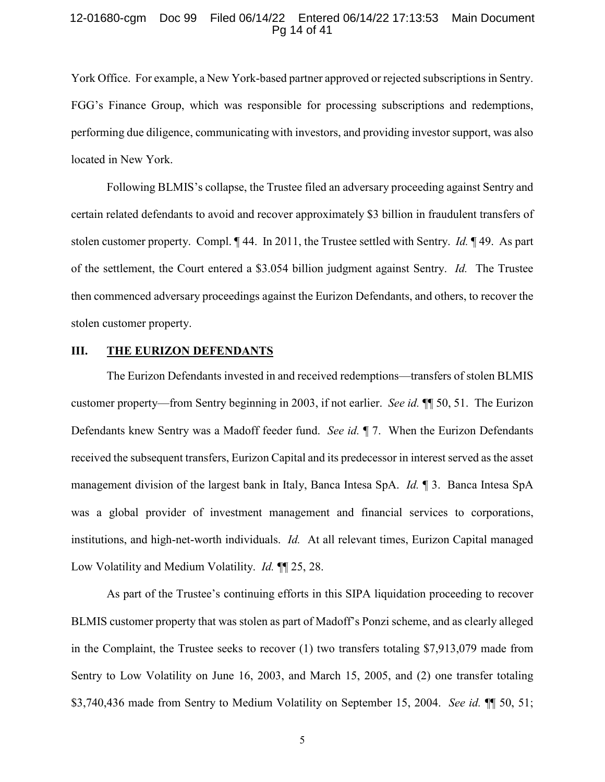#### 12-01680-cgm Doc 99 Filed 06/14/22 Entered 06/14/22 17:13:53 Main Document Pg 14 of 41

York Office. For example, a New York-based partner approved or rejected subscriptions in Sentry. FGG's Finance Group, which was responsible for processing subscriptions and redemptions, performing due diligence, communicating with investors, and providing investor support, was also located in New York.

Following BLMIS's collapse, the Trustee filed an adversary proceeding against Sentry and certain related defendants to avoid and recover approximately \$3 billion in fraudulent transfers of stolen customer property. Compl. ¶ 44. In 2011, the Trustee settled with Sentry. *Id.* ¶ 49. As part of the settlement, the Court entered a \$3.054 billion judgment against Sentry. *Id.* The Trustee then commenced adversary proceedings against the Eurizon Defendants, and others, to recover the stolen customer property.

## **III. THE EURIZON DEFENDANTS**

The Eurizon Defendants invested in and received redemptions—transfers of stolen BLMIS customer property—from Sentry beginning in 2003, if not earlier. *See id.* ¶¶ 50, 51. The Eurizon Defendants knew Sentry was a Madoff feeder fund. *See id.* ¶ 7. When the Eurizon Defendants received the subsequent transfers, Eurizon Capital and its predecessor in interest served as the asset management division of the largest bank in Italy, Banca Intesa SpA. *Id.* ¶ 3. Banca Intesa SpA was a global provider of investment management and financial services to corporations, institutions, and high-net-worth individuals. *Id.* At all relevant times, Eurizon Capital managed Low Volatility and Medium Volatility. *Id.* ¶¶ 25, 28.

As part of the Trustee's continuing efforts in this SIPA liquidation proceeding to recover BLMIS customer property that was stolen as part of Madoff's Ponzi scheme, and as clearly alleged in the Complaint, the Trustee seeks to recover (1) two transfers totaling \$7,913,079 made from Sentry to Low Volatility on June 16, 2003, and March 15, 2005, and (2) one transfer totaling \$3,740,436 made from Sentry to Medium Volatility on September 15, 2004. *See id.* ¶¶ 50, 51;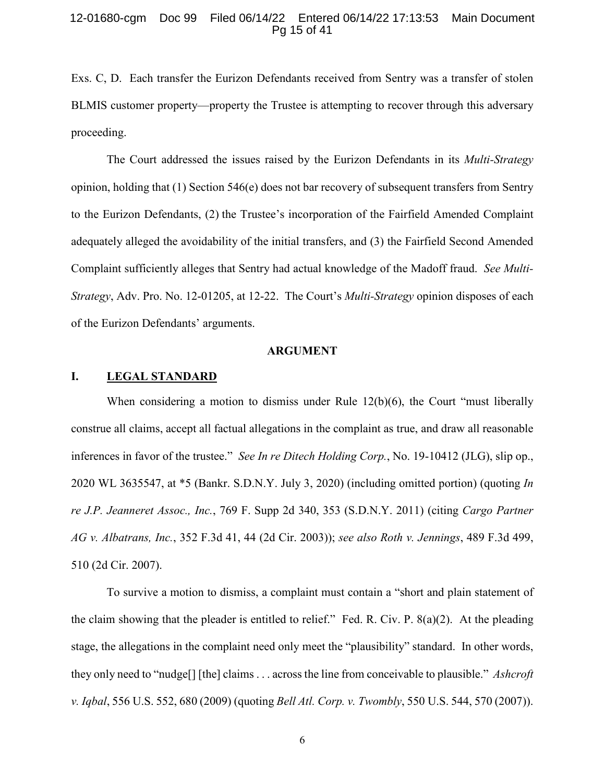#### 12-01680-cgm Doc 99 Filed 06/14/22 Entered 06/14/22 17:13:53 Main Document Pg 15 of 41

Exs. C, D. Each transfer the Eurizon Defendants received from Sentry was a transfer of stolen BLMIS customer property—property the Trustee is attempting to recover through this adversary proceeding.

The Court addressed the issues raised by the Eurizon Defendants in its *Multi-Strategy* opinion, holding that (1) Section 546(e) does not bar recovery of subsequent transfers from Sentry to the Eurizon Defendants, (2) the Trustee's incorporation of the Fairfield Amended Complaint adequately alleged the avoidability of the initial transfers, and (3) the Fairfield Second Amended Complaint sufficiently alleges that Sentry had actual knowledge of the Madoff fraud. *See Multi-Strategy*, Adv. Pro. No. 12-01205, at 12-22. The Court's *Multi-Strategy* opinion disposes of each of the Eurizon Defendants' arguments.

#### <span id="page-14-4"></span><span id="page-14-3"></span><span id="page-14-2"></span><span id="page-14-0"></span>**ARGUMENT**

#### **I. LEGAL STANDARD**

When considering a motion to dismiss under Rule 12(b)(6), the Court "must liberally construe all claims, accept all factual allegations in the complaint as true, and draw all reasonable inferences in favor of the trustee." *See In re Ditech Holding Corp.*, No. 19-10412 (JLG), slip op., 2020 WL 3635547, at \*5 (Bankr. S.D.N.Y. July 3, 2020) (including omitted portion) (quoting *In re J.P. Jeanneret Assoc., Inc.*, 769 F. Supp 2d 340, 353 (S.D.N.Y. 2011) (citing *Cargo Partner AG v. Albatrans, Inc.*, 352 F.3d 41, 44 (2d Cir. 2003)); *see also Roth v. Jennings*, 489 F.3d 499, 510 (2d Cir. 2007).

<span id="page-14-5"></span><span id="page-14-1"></span>To survive a motion to dismiss, a complaint must contain a "short and plain statement of the claim showing that the pleader is entitled to relief." Fed. R. Civ. P. 8(a)(2). At the pleading stage, the allegations in the complaint need only meet the "plausibility" standard. In other words, they only need to "nudge[] [the] claims . . . across the line from conceivable to plausible." *Ashcroft v. Iqbal*, 556 U.S. 552, 680 (2009) (quoting *Bell Atl. Corp. v. Twombly*, 550 U.S. 544, 570 (2007)).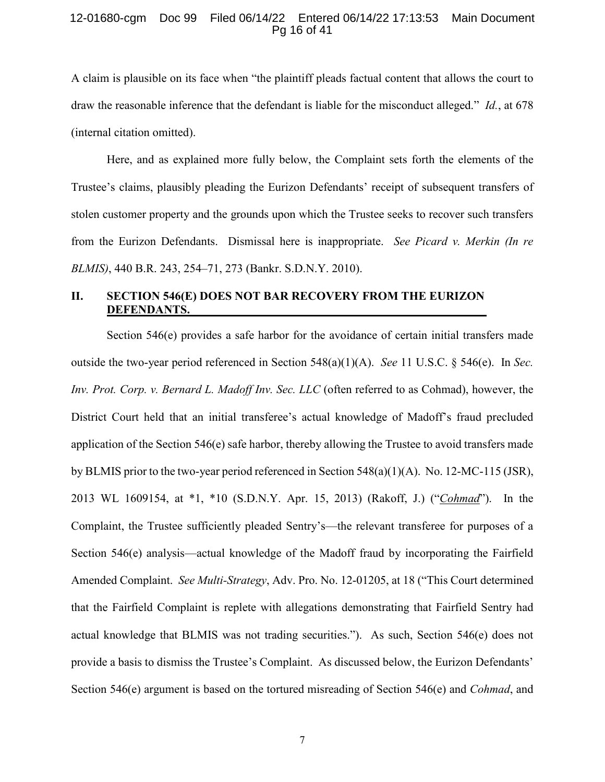#### 12-01680-cgm Doc 99 Filed 06/14/22 Entered 06/14/22 17:13:53 Main Document Pg 16 of 41

A claim is plausible on its face when "the plaintiff pleads factual content that allows the court to draw the reasonable inference that the defendant is liable for the misconduct alleged." *Id.*, at 678 (internal citation omitted).

Here, and as explained more fully below, the Complaint sets forth the elements of the Trustee's claims, plausibly pleading the Eurizon Defendants' receipt of subsequent transfers of stolen customer property and the grounds upon which the Trustee seeks to recover such transfers from the Eurizon Defendants. Dismissal here is inappropriate. *See Picard v. Merkin (In re BLMIS)*, 440 B.R. 243, 254–71, 273 (Bankr. S.D.N.Y. 2010).

# <span id="page-15-1"></span>**II. SECTION 546(E) DOES NOT BAR RECOVERY FROM THE EURIZON DEFENDANTS.**

<span id="page-15-2"></span><span id="page-15-0"></span>Section 546(e) provides a safe harbor for the avoidance of certain initial transfers made outside the two-year period referenced in Section 548(a)(1)(A). *See* 11 U.S.C. § 546(e). In *Sec. Inv. Prot. Corp. v. Bernard L. Madoff Inv. Sec. LLC* (often referred to as Cohmad), however, the District Court held that an initial transferee's actual knowledge of Madoff's fraud precluded application of the Section 546(e) safe harbor, thereby allowing the Trustee to avoid transfers made by BLMIS prior to the two-year period referenced in Section  $548(a)(1)(A)$ . No. 12-MC-115 (JSR), 2013 WL 1609154, at \*1, \*10 (S.D.N.Y. Apr. 15, 2013) (Rakoff, J.) ("*Cohmad*"). In the Complaint, the Trustee sufficiently pleaded Sentry's—the relevant transferee for purposes of a Section 546(e) analysis—actual knowledge of the Madoff fraud by incorporating the Fairfield Amended Complaint. *See Multi-Strategy*, Adv. Pro. No. 12-01205, at 18 ("This Court determined that the Fairfield Complaint is replete with allegations demonstrating that Fairfield Sentry had actual knowledge that BLMIS was not trading securities."). As such, Section 546(e) does not provide a basis to dismiss the Trustee's Complaint. As discussed below, the Eurizon Defendants' Section 546(e) argument is based on the tortured misreading of Section 546(e) and *Cohmad*, and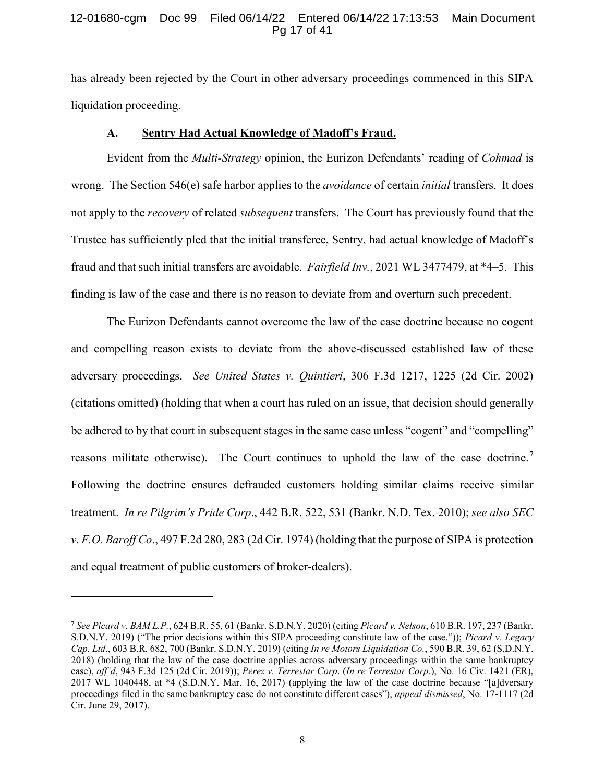#### 12-01680-cgm Doc 99 Filed 06/14/22 Entered 06/14/22 17:13:53 Main Document Pg 17 of 41

has already been rejected by the Court in other adversary proceedings commenced in this SIPA liquidation proceeding.

## <span id="page-16-0"></span>**A. Sentry Had Actual Knowledge of Madoff's Fraud.**

Evident from the *Multi-Strategy* opinion, the Eurizon Defendants' reading of *Cohmad* is wrong. The Section 546(e) safe harbor applies to the *avoidance* of certain *initial* transfers. It does not apply to the *recovery* of related *subsequent* transfers. The Court has previously found that the Trustee has sufficiently pled that the initial transferee, Sentry, had actual knowledge of Madoff's fraud and that such initial transfers are avoidable. *Fairfield Inv.*, 2021 WL 3477479, at \*4–5. This finding is law of the case and there is no reason to deviate from and overturn such precedent.

<span id="page-16-6"></span>The Eurizon Defendants cannot overcome the law of the case doctrine because no cogent and compelling reason exists to deviate from the above-discussed established law of these adversary proceedings. *See United States v. Quintieri*, 306 F.3d 1217, 1225 (2d Cir. 2002) (citations omitted) (holding that when a court has ruled on an issue, that decision should generally be adhered to by that court in subsequent stages in the same case unless "cogent" and "compelling" reasons militate otherwise). The Court continues to uphold the law of the case doctrine.<sup>[7](#page-16-7)</sup> Following the doctrine ensures defrauded customers holding similar claims receive similar treatment. *In re Pilgrim's Pride Corp*., 442 B.R. 522, 531 (Bankr. N.D. Tex. 2010); *see also SEC v. F.O. Baroff Co*., 497 F.2d 280, 283 (2d Cir. 1974) (holding that the purpose of SIPA is protection and equal treatment of public customers of broker-dealers).

<span id="page-16-5"></span><span id="page-16-4"></span> $\overline{a}$ 

<span id="page-16-7"></span><span id="page-16-3"></span><span id="page-16-2"></span><span id="page-16-1"></span><sup>7</sup> *See Picard v. BAM L.P.*, 624 B.R. 55, 61 (Bankr. S.D.N.Y. 2020) (citing *Picard v. Nelson*, 610 B.R. 197, 237 (Bankr. S.D.N.Y. 2019) ("The prior decisions within this SIPA proceeding constitute law of the case.")); *Picard v. Legacy Cap. Ltd*., 603 B.R. 682, 700 (Bankr. S.D.N.Y. 2019) (citing *In re Motors Liquidation Co.*, 590 B.R. 39, 62 (S.D.N.Y. 2018) (holding that the law of the case doctrine applies across adversary proceedings within the same bankruptcy case), *aff'd*, 943 F.3d 125 (2d Cir. 2019)); *Perez v. Terrestar Corp*. (*In re Terrestar Corp*.), No. 16 Civ. 1421 (ER), 2017 WL 1040448, at \*4 (S.D.N.Y. Mar. 16, 2017) (applying the law of the case doctrine because "[a]dversary proceedings filed in the same bankruptcy case do not constitute different cases"), *appeal dismissed*, No. 17-1117 (2d Cir. June 29, 2017).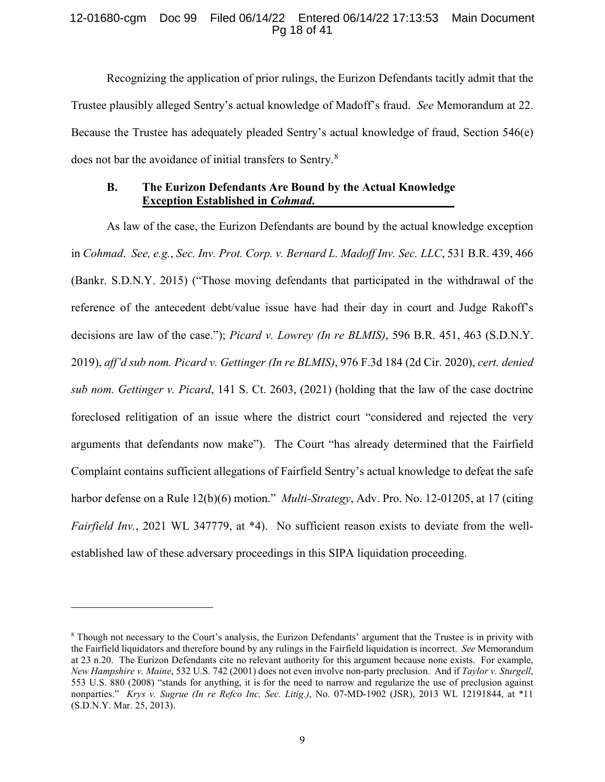## 12-01680-cgm Doc 99 Filed 06/14/22 Entered 06/14/22 17:13:53 Main Document Pg 18 of 41

Recognizing the application of prior rulings, the Eurizon Defendants tacitly admit that the Trustee plausibly alleged Sentry's actual knowledge of Madoff's fraud. *See* Memorandum at 22. Because the Trustee has adequately pleaded Sentry's actual knowledge of fraud, Section 546(e) does not bar the avoidance of initial transfers to Sentry.<sup>[8](#page-17-5)</sup>

## <span id="page-17-3"></span><span id="page-17-2"></span>**B. The Eurizon Defendants Are Bound by the Actual Knowledge Exception Established in** *Cohmad***.**

As law of the case, the Eurizon Defendants are bound by the actual knowledge exception in *Cohmad*. *See, e.g.*, *Sec. Inv. Prot. Corp. v. Bernard L. Madoff Inv. Sec. LLC*, 531 B.R. 439, 466 (Bankr. S.D.N.Y. 2015) ("Those moving defendants that participated in the withdrawal of the reference of the antecedent debt/value issue have had their day in court and Judge Rakoff's decisions are law of the case."); *Picard v. Lowrey (In re BLMIS)*, 596 B.R. 451, 463 (S.D.N.Y. 2019), *aff'd sub nom. Picard v. Gettinger (In re BLMIS)*, 976 F.3d 184 (2d Cir. 2020), *cert. denied sub nom. Gettinger v. Picard*, 141 S. Ct. 2603, (2021) (holding that the law of the case doctrine foreclosed relitigation of an issue where the district court "considered and rejected the very arguments that defendants now make"). The Court "has already determined that the Fairfield Complaint contains sufficient allegations of Fairfield Sentry's actual knowledge to defeat the safe harbor defense on a Rule 12(b)(6) motion." *Multi-Strategy*, Adv. Pro. No. 12-01205, at 17 (citing *Fairfield Inv.*, 2021 WL 347779, at \*4). No sufficient reason exists to deviate from the wellestablished law of these adversary proceedings in this SIPA liquidation proceeding.

 $\ddot{\phantom{a}}$ 

<span id="page-17-5"></span><span id="page-17-4"></span><span id="page-17-1"></span><span id="page-17-0"></span><sup>8</sup> Though not necessary to the Court's analysis, the Eurizon Defendants' argument that the Trustee is in privity with the Fairfield liquidators and therefore bound by any rulings in the Fairfield liquidation is incorrect. *See* Memorandum at 23 n.20. The Eurizon Defendants cite no relevant authority for this argument because none exists. For example, *New Hampshire v. Maine*, 532 U.S. 742 (2001) does not even involve non-party preclusion. And if *Taylor v. Sturgell*, 553 U.S. 880 (2008) "stands for anything, it is for the need to narrow and regularize the use of preclusion against nonparties." *Krys v. Sugrue (In re Refco Inc. Sec. Litig.)*, No. 07-MD-1902 (JSR), 2013 WL 12191844, at \*11 (S.D.N.Y. Mar. 25, 2013).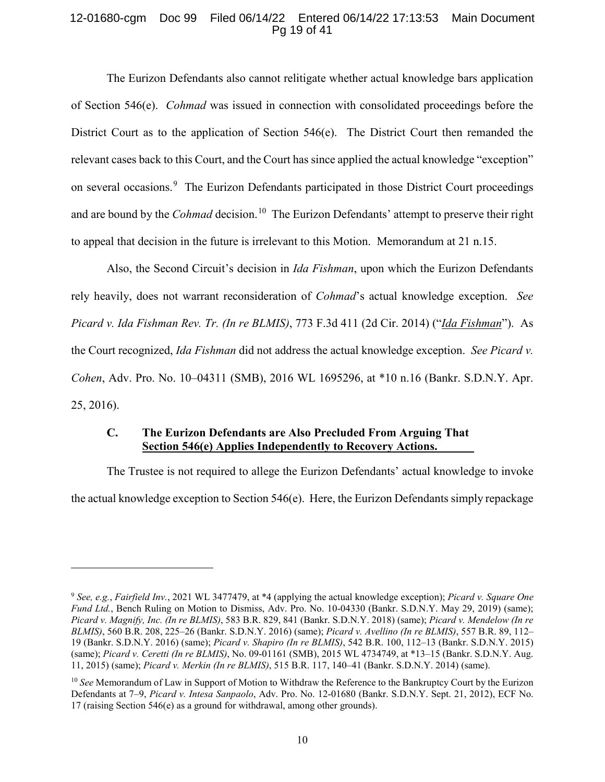## 12-01680-cgm Doc 99 Filed 06/14/22 Entered 06/14/22 17:13:53 Main Document Pg 19 of 41

The Eurizon Defendants also cannot relitigate whether actual knowledge bars application of Section 546(e). *Cohmad* was issued in connection with consolidated proceedings before the District Court as to the application of Section 546(e). The District Court then remanded the relevant cases back to this Court, and the Court has since applied the actual knowledge "exception" on several occasions.<sup>[9](#page-18-10)</sup> The Eurizon Defendants participated in those District Court proceedings and are bound by the *Cohmad* decision. [10](#page-18-11) The Eurizon Defendants' attempt to preserve their right to appeal that decision in the future is irrelevant to this Motion. Memorandum at 21 n.15.

<span id="page-18-3"></span>Also, the Second Circuit's decision in *Ida Fishman*, upon which the Eurizon Defendants rely heavily, does not warrant reconsideration of *Cohmad*'s actual knowledge exception. *See Picard v. Ida Fishman Rev. Tr. (In re BLMIS)*, 773 F.3d 411 (2d Cir. 2014) ("*Ida Fishman*"). As the Court recognized, *Ida Fishman* did not address the actual knowledge exception. *See Picard v. Cohen*, Adv. Pro. No. 10–04311 (SMB), 2016 WL 1695296, at \*10 n.16 (Bankr. S.D.N.Y. Apr. 25, 2016).

## <span id="page-18-2"></span>**C. The Eurizon Defendants are Also Precluded From Arguing That Section 546(e) Applies Independently to Recovery Actions.**

<span id="page-18-9"></span> $\overline{a}$ 

The Trustee is not required to allege the Eurizon Defendants' actual knowledge to invoke the actual knowledge exception to Section 546(e). Here, the Eurizon Defendants simply repackage

<span id="page-18-10"></span><span id="page-18-6"></span><span id="page-18-5"></span><span id="page-18-0"></span><sup>9</sup> *See, e.g.*, *Fairfield Inv.*, 2021 WL 3477479, at \*4 (applying the actual knowledge exception); *Picard v. Square One Fund Ltd.*, Bench Ruling on Motion to Dismiss, Adv. Pro. No. 10-04330 (Bankr. S.D.N.Y. May 29, 2019) (same); *Picard v. Magnify, Inc. (In re BLMIS)*, 583 B.R. 829, 841 (Bankr. S.D.N.Y. 2018) (same); *Picard v. Mendelow (In re BLMIS)*, 560 B.R. 208, 225–26 (Bankr. S.D.N.Y. 2016) (same); *Picard v. Avellino (In re BLMIS)*, 557 B.R. 89, 112– 19 (Bankr. S.D.N.Y. 2016) (same); *Picard v. Shapiro (In re BLMIS)*, 542 B.R. 100, 112–13 (Bankr. S.D.N.Y. 2015) (same); *Picard v. Ceretti (In re BLMIS)*, No. 09-01161 (SMB), 2015 WL 4734749, at \*13–15 (Bankr. S.D.N.Y. Aug. 11, 2015) (same); *Picard v. Merkin (In re BLMIS)*, 515 B.R. 117, 140–41 (Bankr. S.D.N.Y. 2014) (same).

<span id="page-18-11"></span><span id="page-18-8"></span><span id="page-18-7"></span><span id="page-18-4"></span><span id="page-18-1"></span><sup>10</sup> *See* Memorandum of Law in Support of Motion to Withdraw the Reference to the Bankruptcy Court by the Eurizon Defendants at 7–9, *Picard v. Intesa Sanpaolo*, Adv. Pro. No. 12-01680 (Bankr. S.D.N.Y. Sept. 21, 2012), ECF No. 17 (raising Section 546(e) as a ground for withdrawal, among other grounds).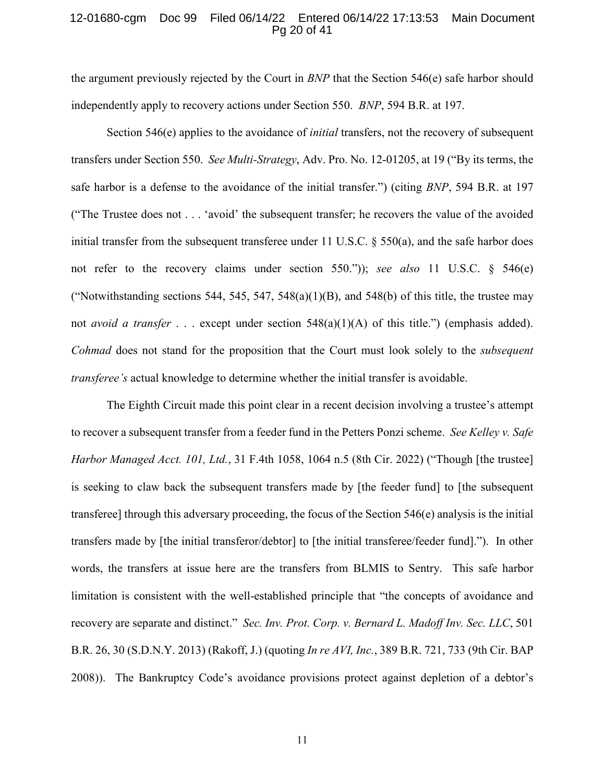#### 12-01680-cgm Doc 99 Filed 06/14/22 Entered 06/14/22 17:13:53 Main Document Pg 20 of 41

<span id="page-19-2"></span>the argument previously rejected by the Court in *BNP* that the Section 546(e) safe harbor should independently apply to recovery actions under Section 550. *BNP*, 594 B.R. at 197.

Section 546(e) applies to the avoidance of *initial* transfers, not the recovery of subsequent transfers under Section 550. *See Multi-Strategy*, Adv. Pro. No. 12-01205, at 19 ("By its terms, the safe harbor is a defense to the avoidance of the initial transfer.") (citing *BNP*, 594 B.R. at 197 ("The Trustee does not . . . 'avoid' the subsequent transfer; he recovers the value of the avoided initial transfer from the subsequent transferee under 11 U.S.C. § 550(a), and the safe harbor does not refer to the recovery claims under section 550.")); *see also* 11 U.S.C. § 546(e) ("Notwithstanding sections 544, 545, 547, 548 $(a)(1)(B)$ , and 548 $(b)$  of this title, the trustee may not *avoid a transfer* . . . except under section 548(a)(1)(A) of this title.") (emphasis added). *Cohmad* does not stand for the proposition that the Court must look solely to the *subsequent transferee's* actual knowledge to determine whether the initial transfer is avoidable.

<span id="page-19-3"></span><span id="page-19-1"></span><span id="page-19-0"></span>The Eighth Circuit made this point clear in a recent decision involving a trustee's attempt to recover a subsequent transfer from a feeder fund in the Petters Ponzi scheme. *See Kelley v. Safe Harbor Managed Acct. 101, Ltd.*, 31 F.4th 1058, 1064 n.5 (8th Cir. 2022) ("Though [the trustee] is seeking to claw back the subsequent transfers made by [the feeder fund] to [the subsequent transferee] through this adversary proceeding, the focus of the Section 546(e) analysis is the initial transfers made by [the initial transferor/debtor] to [the initial transferee/feeder fund]."). In other words, the transfers at issue here are the transfers from BLMIS to Sentry. This safe harbor limitation is consistent with the well-established principle that "the concepts of avoidance and recovery are separate and distinct." *Sec. Inv. Prot. Corp. v. Bernard L. Madoff Inv. Sec. LLC*, 501 B.R. 26, 30 (S.D.N.Y. 2013) (Rakoff, J.) (quoting *In re AVI, Inc.*, 389 B.R. 721, 733 (9th Cir. BAP 2008)). The Bankruptcy Code's avoidance provisions protect against depletion of a debtor's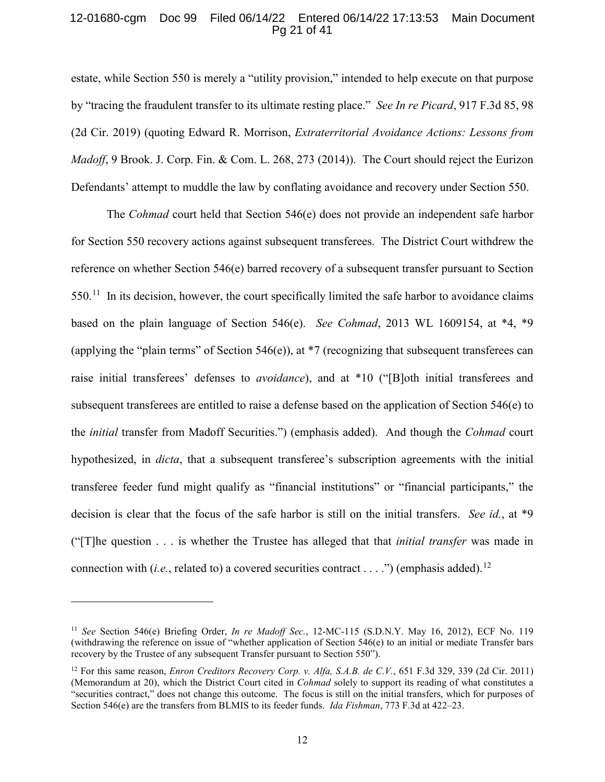## 12-01680-cgm Doc 99 Filed 06/14/22 Entered 06/14/22 17:13:53 Main Document Pg 21 of 41

<span id="page-20-3"></span>estate, while Section 550 is merely a "utility provision," intended to help execute on that purpose by "tracing the fraudulent transfer to its ultimate resting place." *See In re Picard*, 917 F.3d 85, 98 (2d Cir. 2019) (quoting Edward R. Morrison, *Extraterritorial Avoidance Actions: Lessons from Madoff*, 9 Brook. J. Corp. Fin. & Com. L. 268, 273 (2014)). The Court should reject the Eurizon Defendants' attempt to muddle the law by conflating avoidance and recovery under Section 550.

The *Cohmad* court held that Section 546(e) does not provide an independent safe harbor for Section 550 recovery actions against subsequent transferees. The District Court withdrew the reference on whether Section 546(e) barred recovery of a subsequent transfer pursuant to Section  $550<sup>11</sup>$  In its decision, however, the court specifically limited the safe harbor to avoidance claims based on the plain language of Section 546(e). *See Cohmad*, 2013 WL 1609154, at \*4, \*9 (applying the "plain terms" of Section 546(e)), at \*7 (recognizing that subsequent transferees can raise initial transferees' defenses to *avoidance*), and at \*10 ("[B]oth initial transferees and subsequent transferees are entitled to raise a defense based on the application of Section 546(e) to the *initial* transfer from Madoff Securities.") (emphasis added). And though the *Cohmad* court hypothesized, in *dicta*, that a subsequent transferee's subscription agreements with the initial transferee feeder fund might qualify as "financial institutions" or "financial participants," the decision is clear that the focus of the safe harbor is still on the initial transfers. *See id.*, at \*9 ("[T]he question . . . is whether the Trustee has alleged that that *initial transfer* was made in connection with (*i.e.*, related to) a covered securities contract . . . .") (emphasis added).<sup>[12](#page-20-5)</sup>

 $\ddot{\phantom{a}}$ 

<span id="page-20-4"></span><span id="page-20-1"></span><sup>11</sup> *See* Section 546(e) Briefing Order, *In re Madoff Sec.*, 12-MC-115 (S.D.N.Y. May 16, 2012), ECF No. 119 (withdrawing the reference on issue of "whether application of Section 546(e) to an initial or mediate Transfer bars recovery by the Trustee of any subsequent Transfer pursuant to Section 550").

<span id="page-20-5"></span><span id="page-20-2"></span><span id="page-20-0"></span><sup>12</sup> For this same reason, *Enron Creditors Recovery Corp. v. Alfa, S.A.B. de C.V.*, 651 F.3d 329, 339 (2d Cir. 2011) (Memorandum at 20), which the District Court cited in *Cohmad* solely to support its reading of what constitutes a "securities contract," does not change this outcome. The focus is still on the initial transfers, which for purposes of Section 546(e) are the transfers from BLMIS to its feeder funds. *Ida Fishman*, 773 F.3d at 422–23.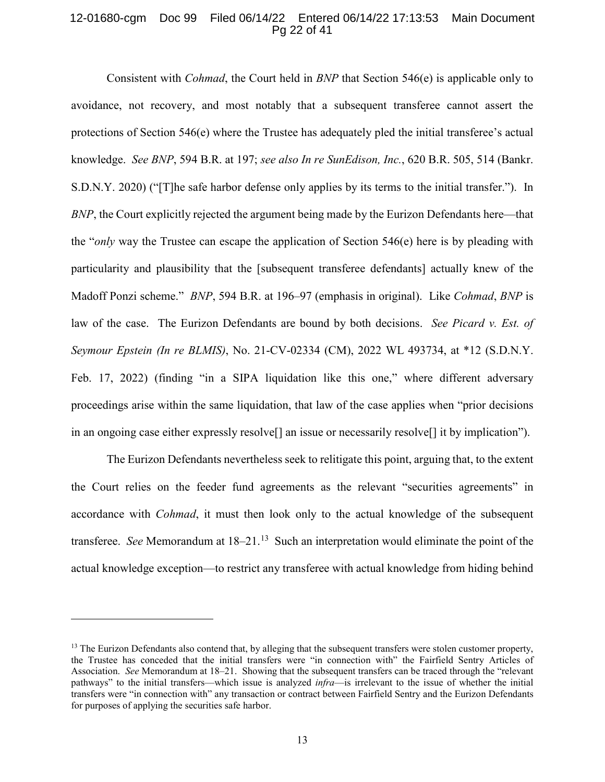#### 12-01680-cgm Doc 99 Filed 06/14/22 Entered 06/14/22 17:13:53 Main Document Pg 22 of 41

<span id="page-21-2"></span><span id="page-21-0"></span>Consistent with *Cohmad*, the Court held in *BNP* that Section 546(e) is applicable only to avoidance, not recovery, and most notably that a subsequent transferee cannot assert the protections of Section 546(e) where the Trustee has adequately pled the initial transferee's actual knowledge. *See BNP*, 594 B.R. at 197; *see also In re SunEdison, Inc.*, 620 B.R. 505, 514 (Bankr. S.D.N.Y. 2020) ("[T]he safe harbor defense only applies by its terms to the initial transfer."). In *BNP*, the Court explicitly rejected the argument being made by the Eurizon Defendants here—that the "*only* way the Trustee can escape the application of Section 546(e) here is by pleading with particularity and plausibility that the [subsequent transferee defendants] actually knew of the Madoff Ponzi scheme." *BNP*, 594 B.R. at 196–97 (emphasis in original). Like *Cohmad*, *BNP* is law of the case. The Eurizon Defendants are bound by both decisions. *See Picard v. Est. of Seymour Epstein (In re BLMIS)*, No. 21-CV-02334 (CM), 2022 WL 493734, at \*12 (S.D.N.Y. Feb. 17, 2022) (finding "in a SIPA liquidation like this one," where different adversary proceedings arise within the same liquidation, that law of the case applies when "prior decisions in an ongoing case either expressly resolve[] an issue or necessarily resolve[] it by implication").

<span id="page-21-1"></span>The Eurizon Defendants nevertheless seek to relitigate this point, arguing that, to the extent the Court relies on the feeder fund agreements as the relevant "securities agreements" in accordance with *Cohmad*, it must then look only to the actual knowledge of the subsequent transferee. *See* Memorandum at 18–21. [13](#page-21-3) Such an interpretation would eliminate the point of the actual knowledge exception—to restrict any transferee with actual knowledge from hiding behind

 $\overline{a}$ 

<span id="page-21-3"></span><sup>&</sup>lt;sup>13</sup> The Eurizon Defendants also contend that, by alleging that the subsequent transfers were stolen customer property, the Trustee has conceded that the initial transfers were "in connection with" the Fairfield Sentry Articles of Association. *See* Memorandum at 18–21. Showing that the subsequent transfers can be traced through the "relevant pathways" to the initial transfers—which issue is analyzed *infra*—is irrelevant to the issue of whether the initial transfers were "in connection with" any transaction or contract between Fairfield Sentry and the Eurizon Defendants for purposes of applying the securities safe harbor.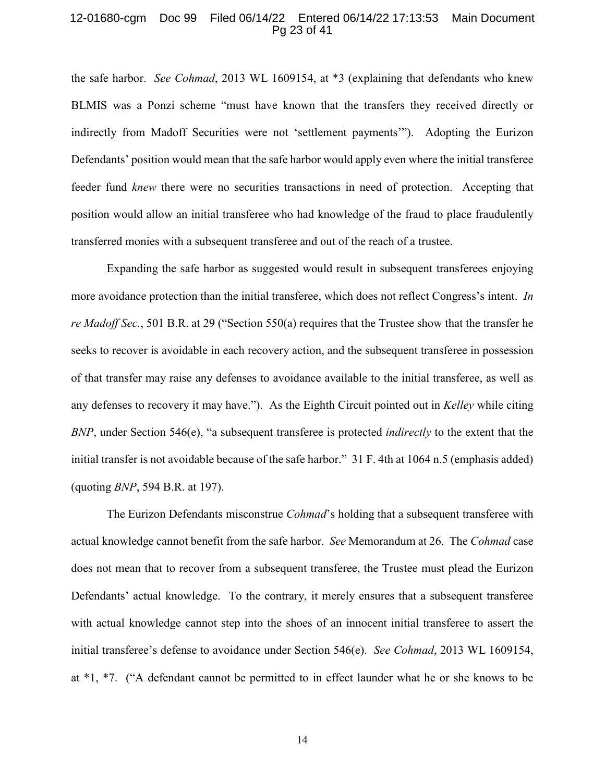#### 12-01680-cgm Doc 99 Filed 06/14/22 Entered 06/14/22 17:13:53 Main Document Pg 23 of 41

the safe harbor. *See Cohmad*, 2013 WL 1609154, at \*3 (explaining that defendants who knew BLMIS was a Ponzi scheme "must have known that the transfers they received directly or indirectly from Madoff Securities were not 'settlement payments'"). Adopting the Eurizon Defendants' position would mean that the safe harbor would apply even where the initial transferee feeder fund *knew* there were no securities transactions in need of protection. Accepting that position would allow an initial transferee who had knowledge of the fraud to place fraudulently transferred monies with a subsequent transferee and out of the reach of a trustee.

<span id="page-22-1"></span>Expanding the safe harbor as suggested would result in subsequent transferees enjoying more avoidance protection than the initial transferee, which does not reflect Congress's intent. *In re Madoff Sec.*, 501 B.R. at 29 ("Section 550(a) requires that the Trustee show that the transfer he seeks to recover is avoidable in each recovery action, and the subsequent transferee in possession of that transfer may raise any defenses to avoidance available to the initial transferee, as well as any defenses to recovery it may have."). As the Eighth Circuit pointed out in *Kelley* while citing *BNP*, under Section 546(e), "a subsequent transferee is protected *indirectly* to the extent that the initial transfer is not avoidable because of the safe harbor." 31 F. 4th at 1064 n.5 (emphasis added) (quoting *BNP*, 594 B.R. at 197).

<span id="page-22-0"></span>The Eurizon Defendants misconstrue *Cohmad*'s holding that a subsequent transferee with actual knowledge cannot benefit from the safe harbor. *See* Memorandum at 26. The *Cohmad* case does not mean that to recover from a subsequent transferee, the Trustee must plead the Eurizon Defendants' actual knowledge. To the contrary, it merely ensures that a subsequent transferee with actual knowledge cannot step into the shoes of an innocent initial transferee to assert the initial transferee's defense to avoidance under Section 546(e). *See Cohmad*, 2013 WL 1609154, at \*1, \*7. ("A defendant cannot be permitted to in effect launder what he or she knows to be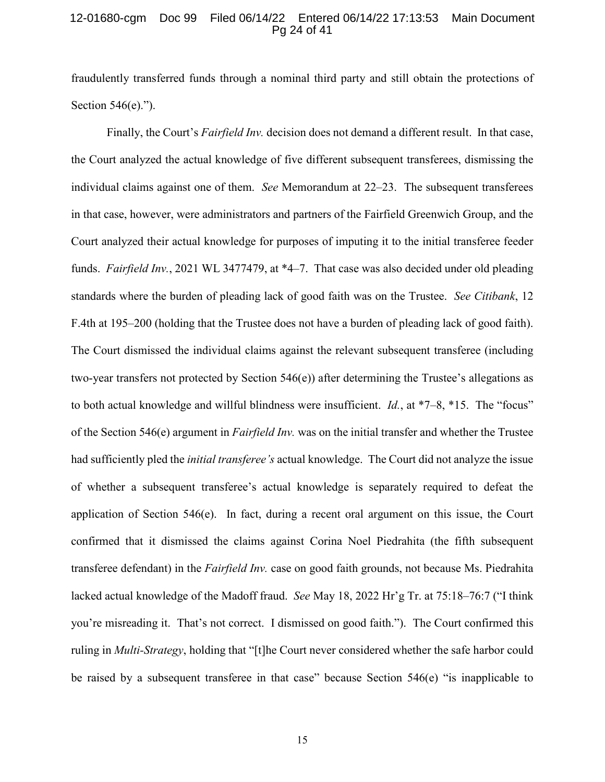#### 12-01680-cgm Doc 99 Filed 06/14/22 Entered 06/14/22 17:13:53 Main Document Pg 24 of 41

fraudulently transferred funds through a nominal third party and still obtain the protections of Section 546(e).").

Finally, the Court's *Fairfield Inv.* decision does not demand a different result. In that case, the Court analyzed the actual knowledge of five different subsequent transferees, dismissing the individual claims against one of them. *See* Memorandum at 22–23. The subsequent transferees in that case, however, were administrators and partners of the Fairfield Greenwich Group, and the Court analyzed their actual knowledge for purposes of imputing it to the initial transferee feeder funds. *Fairfield Inv.*, 2021 WL 3477479, at \*4–7. That case was also decided under old pleading standards where the burden of pleading lack of good faith was on the Trustee. *See Citibank*, 12 F.4th at 195–200 (holding that the Trustee does not have a burden of pleading lack of good faith). The Court dismissed the individual claims against the relevant subsequent transferee (including two-year transfers not protected by Section 546(e)) after determining the Trustee's allegations as to both actual knowledge and willful blindness were insufficient. *Id.*, at \*7–8, \*15. The "focus" of the Section 546(e) argument in *Fairfield Inv.* was on the initial transfer and whether the Trustee had sufficiently pled the *initial transferee's* actual knowledge. The Court did not analyze the issue of whether a subsequent transferee's actual knowledge is separately required to defeat the application of Section 546(e). In fact, during a recent oral argument on this issue, the Court confirmed that it dismissed the claims against Corina Noel Piedrahita (the fifth subsequent transferee defendant) in the *Fairfield Inv.* case on good faith grounds, not because Ms. Piedrahita lacked actual knowledge of the Madoff fraud. *See* May 18, 2022 Hr'g Tr. at 75:18–76:7 ("I think you're misreading it. That's not correct. I dismissed on good faith."). The Court confirmed this ruling in *Multi-Strategy*, holding that "[t]he Court never considered whether the safe harbor could be raised by a subsequent transferee in that case" because Section 546(e) "is inapplicable to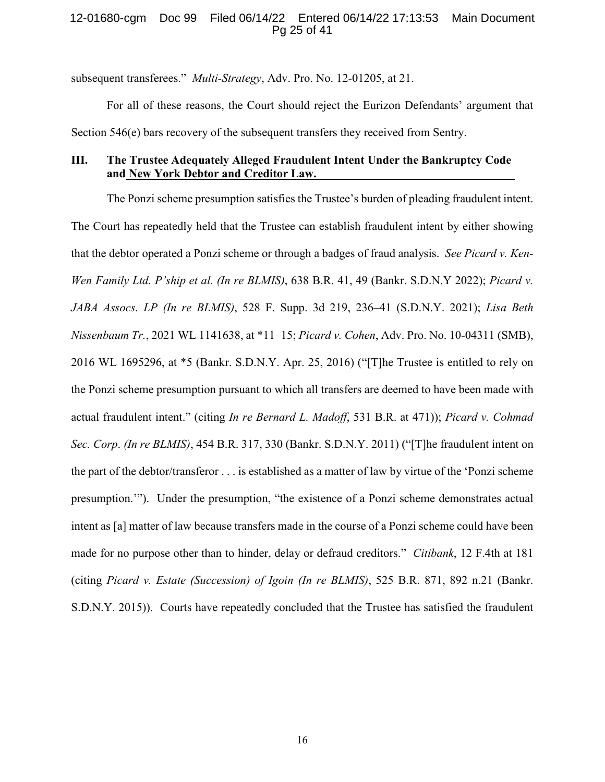## 12-01680-cgm Doc 99 Filed 06/14/22 Entered 06/14/22 17:13:53 Main Document Pg 25 of 41

subsequent transferees." *Multi-Strategy*, Adv. Pro. No. 12-01205, at 21.

For all of these reasons, the Court should reject the Eurizon Defendants' argument that Section 546(e) bars recovery of the subsequent transfers they received from Sentry.

## **III. The Trustee Adequately Alleged Fraudulent Intent Under the Bankruptcy Code and New York Debtor and Creditor Law.**

<span id="page-24-3"></span><span id="page-24-2"></span><span id="page-24-1"></span><span id="page-24-0"></span>The Ponzi scheme presumption satisfies the Trustee's burden of pleading fraudulent intent. The Court has repeatedly held that the Trustee can establish fraudulent intent by either showing that the debtor operated a Ponzi scheme or through a badges of fraud analysis. *See Picard v. Ken-Wen Family Ltd. P'ship et al. (In re BLMIS)*, 638 B.R. 41, 49 (Bankr. S.D.N.Y 2022); *Picard v. JABA Assocs. LP (In re BLMIS)*, 528 F. Supp. 3d 219, 236–41 (S.D.N.Y. 2021); *Lisa Beth Nissenbaum Tr.*, 2021 WL 1141638, at \*11–15; *Picard v. Cohen*, Adv. Pro. No. 10-04311 (SMB), 2016 WL 1695296, at \*5 (Bankr. S.D.N.Y. Apr. 25, 2016) ("[T]he Trustee is entitled to rely on the Ponzi scheme presumption pursuant to which all transfers are deemed to have been made with actual fraudulent intent." (citing *In re Bernard L. Madoff*, 531 B.R. at 471)); *Picard v. Cohmad Sec. Corp*. *(In re BLMIS)*, 454 B.R. 317, 330 (Bankr. S.D.N.Y. 2011) ("[T]he fraudulent intent on the part of the debtor/transferor . . . is established as a matter of law by virtue of the 'Ponzi scheme presumption.'"). Under the presumption, "the existence of a Ponzi scheme demonstrates actual intent as [a] matter of law because transfers made in the course of a Ponzi scheme could have been made for no purpose other than to hinder, delay or defraud creditors." *Citibank*, 12 F.4th at 181 (citing *Picard v. Estate (Succession) of Igoin (In re BLMIS)*, 525 B.R. 871, 892 n.21 (Bankr. S.D.N.Y. 2015)). Courts have repeatedly concluded that the Trustee has satisfied the fraudulent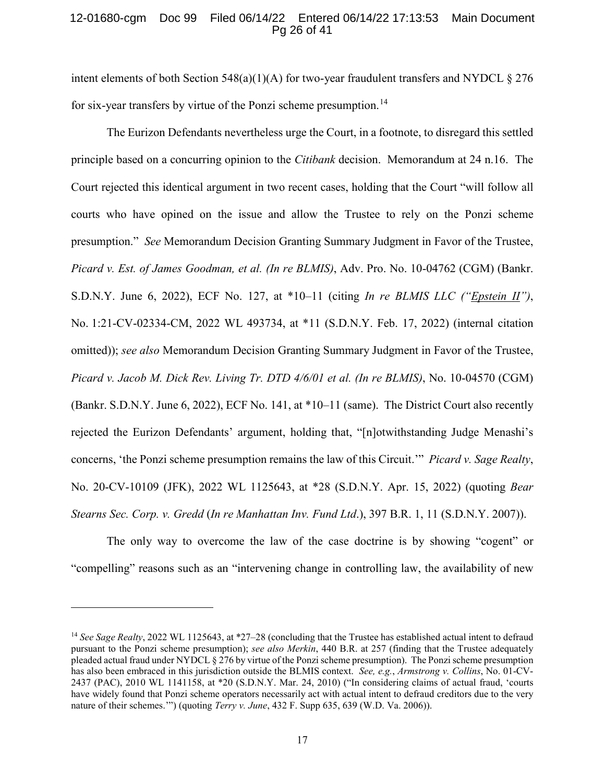## 12-01680-cgm Doc 99 Filed 06/14/22 Entered 06/14/22 17:13:53 Main Document Pg 26 of 41

intent elements of both Section 548(a)(1)(A) for two-year fraudulent transfers and NYDCL  $\S 276$ for six-year transfers by virtue of the Ponzi scheme presumption.<sup>14</sup>

<span id="page-25-2"></span>The Eurizon Defendants nevertheless urge the Court, in a footnote, to disregard this settled principle based on a concurring opinion to the *Citibank* decision. Memorandum at 24 n.16. The Court rejected this identical argument in two recent cases, holding that the Court "will follow all courts who have opined on the issue and allow the Trustee to rely on the Ponzi scheme presumption." *See* Memorandum Decision Granting Summary Judgment in Favor of the Trustee, *Picard v. Est. of James Goodman, et al. (In re BLMIS)*, Adv. Pro. No. 10-04762 (CGM) (Bankr. S.D.N.Y. June 6, 2022), ECF No. 127, at \*10–11 (citing *In re BLMIS LLC ("Epstein II")*, No. 1:21-CV-02334-CM, 2022 WL 493734, at \*11 (S.D.N.Y. Feb. 17, 2022) (internal citation omitted)); *see also* Memorandum Decision Granting Summary Judgment in Favor of the Trustee, *Picard v. Jacob M. Dick Rev. Living Tr. DTD 4/6/01 et al. (In re BLMIS)*, No. 10-04570 (CGM) (Bankr. S.D.N.Y. June 6, 2022), ECF No. 141, at \*10–11 (same). The District Court also recently rejected the Eurizon Defendants' argument, holding that, "[n]otwithstanding Judge Menashi's concerns, 'the Ponzi scheme presumption remains the law of this Circuit.'" *Picard v. Sage Realty*, No. 20-CV-10109 (JFK), 2022 WL 1125643, at \*28 (S.D.N.Y. Apr. 15, 2022) (quoting *Bear Stearns Sec. Corp. v. Gredd* (*In re Manhattan Inv. Fund Ltd*.), 397 B.R. 1, 11 (S.D.N.Y. 2007)).

<span id="page-25-3"></span><span id="page-25-1"></span>The only way to overcome the law of the case doctrine is by showing "cogent" or "compelling" reasons such as an "intervening change in controlling law, the availability of new

 $\ddot{\phantom{a}}$ 

<span id="page-25-6"></span><span id="page-25-5"></span><span id="page-25-4"></span><span id="page-25-0"></span><sup>&</sup>lt;sup>14</sup> See Sage Realty, 2022 WL 1125643, at \*27–28 (concluding that the Trustee has established actual intent to defraud pursuant to the Ponzi scheme presumption); *see also Merkin*, 440 B.R. at 257 (finding that the Trustee adequately pleaded actual fraud under NYDCL § 276 by virtue of the Ponzi scheme presumption). The Ponzi scheme presumption has also been embraced in this jurisdiction outside the BLMIS context. *See, e.g.*, *Armstrong v. Collins*, No. 01-CV-2437 (PAC), 2010 WL 1141158, at \*20 (S.D.N.Y. Mar. 24, 2010) ("In considering claims of actual fraud, 'courts have widely found that Ponzi scheme operators necessarily act with actual intent to defraud creditors due to the very nature of their schemes.'") (quoting *Terry v. June*, 432 F. Supp 635, 639 (W.D. Va. 2006)).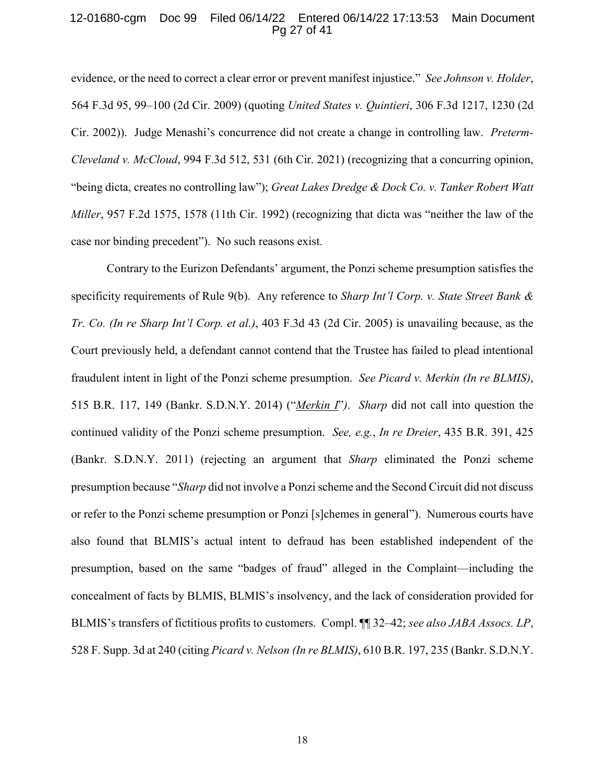#### 12-01680-cgm Doc 99 Filed 06/14/22 Entered 06/14/22 17:13:53 Main Document Pg 27 of 41

<span id="page-26-4"></span><span id="page-26-2"></span>evidence, or the need to correct a clear error or prevent manifest injustice." *See Johnson v. Holder*, 564 F.3d 95, 99–100 (2d Cir. 2009) (quoting *United States v. Quintieri*, 306 F.3d 1217, 1230 (2d Cir. 2002)). Judge Menashi's concurrence did not create a change in controlling law. *Preterm-Cleveland v. McCloud*, 994 F.3d 512, 531 (6th Cir. 2021) (recognizing that a concurring opinion, "being dicta, creates no controlling law"); *Great Lakes Dredge & Dock Co. v. Tanker Robert Watt Miller*, 957 F.2d 1575, 1578 (11th Cir. 1992) (recognizing that dicta was "neither the law of the case nor binding precedent"). No such reasons exist.

<span id="page-26-6"></span><span id="page-26-5"></span><span id="page-26-3"></span><span id="page-26-1"></span><span id="page-26-0"></span>Contrary to the Eurizon Defendants' argument, the Ponzi scheme presumption satisfies the specificity requirements of Rule 9(b). Any reference to *Sharp Int'l Corp. v. State Street Bank & Tr. Co. (In re Sharp Int'l Corp. et al.)*, 403 F.3d 43 (2d Cir. 2005) is unavailing because, as the Court previously held, a defendant cannot contend that the Trustee has failed to plead intentional fraudulent intent in light of the Ponzi scheme presumption. *See Picard v. Merkin (In re BLMIS)*, 515 B.R. 117, 149 (Bankr. S.D.N.Y. 2014) ("*Merkin I*"*)*. *Sharp* did not call into question the continued validity of the Ponzi scheme presumption. *See, e.g.*, *In re Dreier*, 435 B.R. 391, 425 (Bankr. S.D.N.Y. 2011) (rejecting an argument that *Sharp* eliminated the Ponzi scheme presumption because "*Sharp* did not involve a Ponzi scheme and the Second Circuit did not discuss or refer to the Ponzi scheme presumption or Ponzi [s]chemes in general"). Numerous courts have also found that BLMIS's actual intent to defraud has been established independent of the presumption, based on the same "badges of fraud" alleged in the Complaint—including the concealment of facts by BLMIS, BLMIS's insolvency, and the lack of consideration provided for BLMIS's transfers of fictitious profits to customers. Compl. ¶¶ 32–42; *see also JABA Assocs. LP*, 528 F. Supp. 3d at 240 (citing *Picard v. Nelson (In re BLMIS)*, 610 B.R. 197, 235 (Bankr. S.D.N.Y.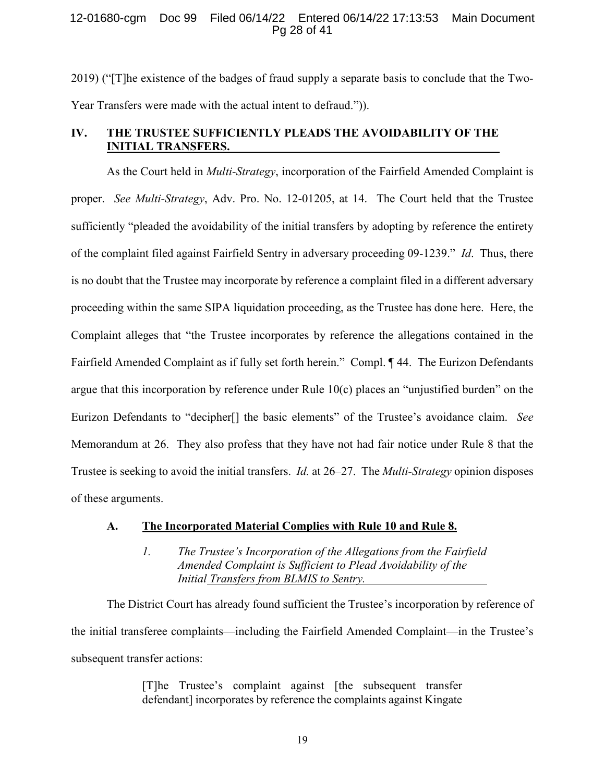## 12-01680-cgm Doc 99 Filed 06/14/22 Entered 06/14/22 17:13:53 Main Document Pg 28 of 41

2019) ("[T]he existence of the badges of fraud supply a separate basis to conclude that the Two-Year Transfers were made with the actual intent to defraud.")).

# **IV. THE TRUSTEE SUFFICIENTLY PLEADS THE AVOIDABILITY OF THE INITIAL TRANSFERS.**

<span id="page-27-0"></span>As the Court held in *Multi-Strategy*, incorporation of the Fairfield Amended Complaint is proper. *See Multi-Strategy*, Adv. Pro. No. 12-01205, at 14. The Court held that the Trustee sufficiently "pleaded the avoidability of the initial transfers by adopting by reference the entirety of the complaint filed against Fairfield Sentry in adversary proceeding 09-1239." *Id*. Thus, there is no doubt that the Trustee may incorporate by reference a complaint filed in a different adversary proceeding within the same SIPA liquidation proceeding, as the Trustee has done here. Here, the Complaint alleges that "the Trustee incorporates by reference the allegations contained in the Fairfield Amended Complaint as if fully set forth herein." Compl. ¶ 44. The Eurizon Defendants argue that this incorporation by reference under Rule 10(c) places an "unjustified burden" on the Eurizon Defendants to "decipher[] the basic elements" of the Trustee's avoidance claim. *See* Memorandum at 26. They also profess that they have not had fair notice under Rule 8 that the Trustee is seeking to avoid the initial transfers. *Id.* at 26–27. The *Multi-Strategy* opinion disposes of these arguments.

#### **A. The Incorporated Material Complies with Rule 10 and Rule 8.**

<span id="page-27-1"></span>*1. The Trustee's Incorporation of the Allegations from the Fairfield Amended Complaint is Sufficient to Plead Avoidability of the Initial Transfers from BLMIS to Sentry.* 

The District Court has already found sufficient the Trustee's incorporation by reference of the initial transferee complaints—including the Fairfield Amended Complaint—in the Trustee's subsequent transfer actions:

> [T]he Trustee's complaint against [the subsequent transfer defendant] incorporates by reference the complaints against Kingate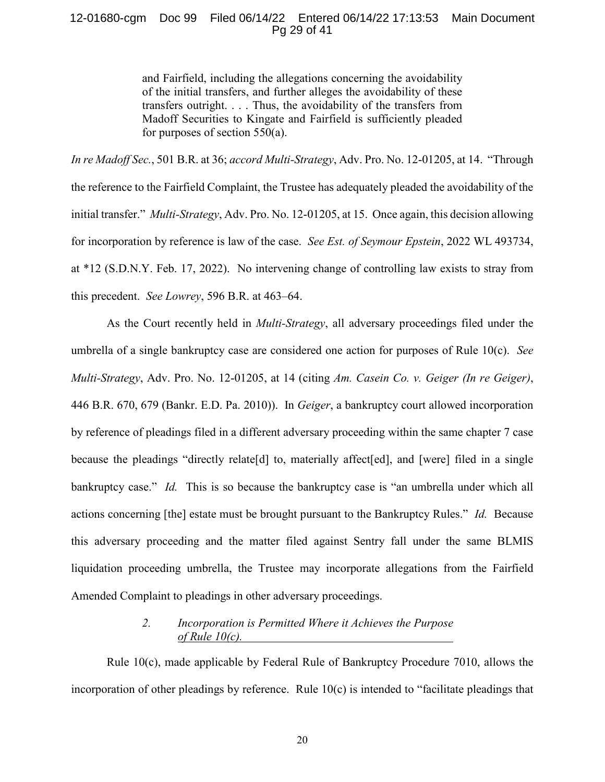## 12-01680-cgm Doc 99 Filed 06/14/22 Entered 06/14/22 17:13:53 Main Document Pg 29 of 41

<span id="page-28-1"></span>and Fairfield, including the allegations concerning the avoidability of the initial transfers, and further alleges the avoidability of these transfers outright. . . . Thus, the avoidability of the transfers from Madoff Securities to Kingate and Fairfield is sufficiently pleaded for purposes of section 550(a).

<span id="page-28-3"></span>*In re Madoff Sec.*, 501 B.R. at 36; *accord Multi-Strategy*, Adv. Pro. No. 12-01205, at 14. "Through the reference to the Fairfield Complaint, the Trustee has adequately pleaded the avoidability of the initial transfer." *Multi-Strategy*, Adv. Pro. No. 12-01205, at 15. Once again, this decision allowing for incorporation by reference is law of the case. *See Est. of Seymour Epstein*, 2022 WL 493734, at \*12 (S.D.N.Y. Feb. 17, 2022). No intervening change of controlling law exists to stray from this precedent. *See Lowrey*, 596 B.R. at 463–64.

<span id="page-28-2"></span><span id="page-28-0"></span>As the Court recently held in *Multi-Strategy*, all adversary proceedings filed under the umbrella of a single bankruptcy case are considered one action for purposes of Rule 10(c). *See Multi-Strategy*, Adv. Pro. No. 12-01205, at 14 (citing *Am. Casein Co. v. Geiger (In re Geiger)*, 446 B.R. 670, 679 (Bankr. E.D. Pa. 2010)). In *Geiger*, a bankruptcy court allowed incorporation by reference of pleadings filed in a different adversary proceeding within the same chapter 7 case because the pleadings "directly relate[d] to, materially affect[ed], and [were] filed in a single bankruptcy case." *Id.* This is so because the bankruptcy case is "an umbrella under which all actions concerning [the] estate must be brought pursuant to the Bankruptcy Rules." *Id.* Because this adversary proceeding and the matter filed against Sentry fall under the same BLMIS liquidation proceeding umbrella, the Trustee may incorporate allegations from the Fairfield Amended Complaint to pleadings in other adversary proceedings.

## <span id="page-28-4"></span>*2. Incorporation is Permitted Where it Achieves the Purpose of Rule 10(c).*

Rule 10(c), made applicable by Federal Rule of Bankruptcy Procedure 7010, allows the incorporation of other pleadings by reference. Rule 10(c) is intended to "facilitate pleadings that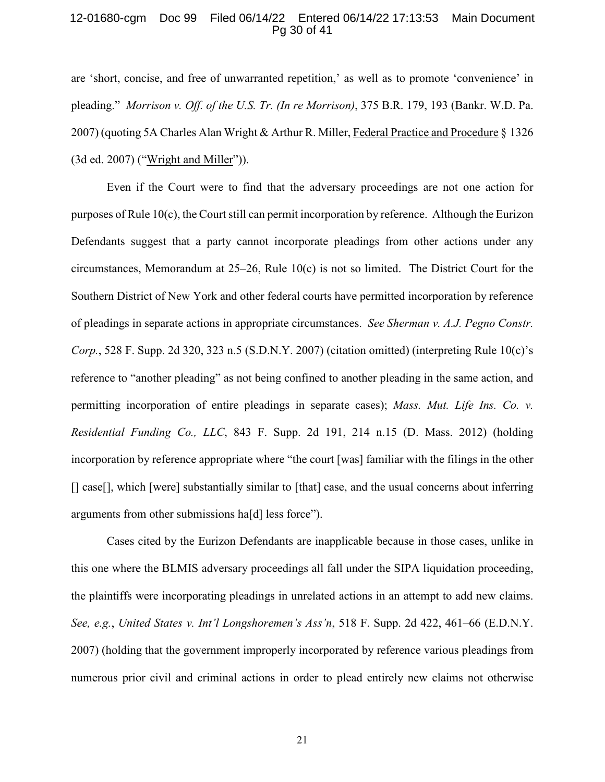#### 12-01680-cgm Doc 99 Filed 06/14/22 Entered 06/14/22 17:13:53 Main Document Pg 30 of 41

<span id="page-29-1"></span>are 'short, concise, and free of unwarranted repetition,' as well as to promote 'convenience' in pleading." *Morrison v. Off. of the U.S. Tr. (In re Morrison)*, 375 B.R. 179, 193 (Bankr. W.D. Pa. 2007) (quoting 5A Charles Alan Wright & Arthur R. Miller, Federal Practice and Procedure § 1326 (3d ed. 2007) ("Wright and Miller")).

<span id="page-29-4"></span><span id="page-29-2"></span>Even if the Court were to find that the adversary proceedings are not one action for purposes of Rule 10(c), the Court still can permit incorporation by reference. Although the Eurizon Defendants suggest that a party cannot incorporate pleadings from other actions under any circumstances, Memorandum at 25–26, Rule 10(c) is not so limited. The District Court for the Southern District of New York and other federal courts have permitted incorporation by reference of pleadings in separate actions in appropriate circumstances. *See Sherman v. A.J. Pegno Constr. Corp.*, 528 F. Supp. 2d 320, 323 n.5 (S.D.N.Y. 2007) (citation omitted) (interpreting Rule 10(c)'s reference to "another pleading" as not being confined to another pleading in the same action, and permitting incorporation of entire pleadings in separate cases); *Mass. Mut. Life Ins. Co. v. Residential Funding Co., LLC*, 843 F. Supp. 2d 191, 214 n.15 (D. Mass. 2012) (holding incorporation by reference appropriate where "the court [was] familiar with the filings in the other [] case[], which [were] substantially similar to [that] case, and the usual concerns about inferring arguments from other submissions ha[d] less force").

<span id="page-29-3"></span><span id="page-29-0"></span>Cases cited by the Eurizon Defendants are inapplicable because in those cases, unlike in this one where the BLMIS adversary proceedings all fall under the SIPA liquidation proceeding, the plaintiffs were incorporating pleadings in unrelated actions in an attempt to add new claims. *See, e.g.*, *United States v. Int'l Longshoremen's Ass'n*, 518 F. Supp. 2d 422, 461–66 (E.D.N.Y. 2007) (holding that the government improperly incorporated by reference various pleadings from numerous prior civil and criminal actions in order to plead entirely new claims not otherwise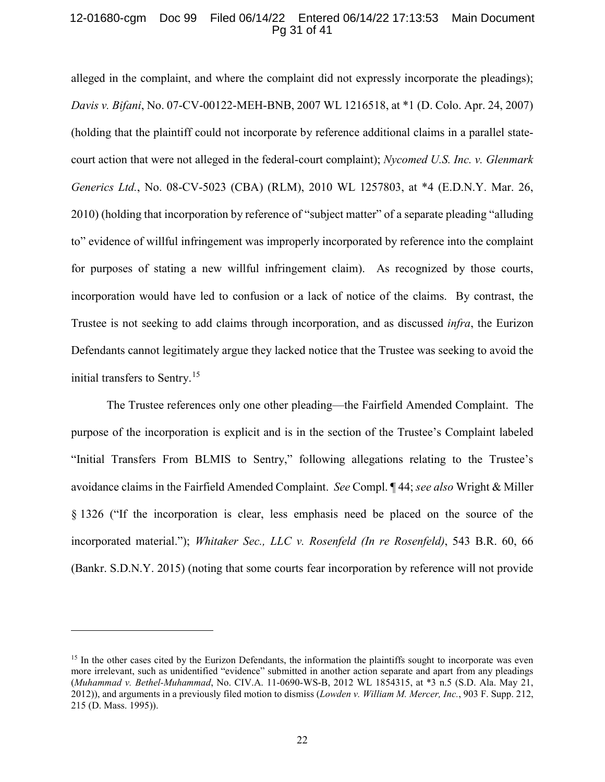#### 12-01680-cgm Doc 99 Filed 06/14/22 Entered 06/14/22 17:13:53 Main Document Pg 31 of 41

<span id="page-30-3"></span><span id="page-30-0"></span>alleged in the complaint, and where the complaint did not expressly incorporate the pleadings); *Davis v. Bifani*, No. 07-CV-00122-MEH-BNB, 2007 WL 1216518, at \*1 (D. Colo. Apr. 24, 2007) (holding that the plaintiff could not incorporate by reference additional claims in a parallel statecourt action that were not alleged in the federal-court complaint); *Nycomed U.S. Inc. v. Glenmark Generics Ltd.*, No. 08-CV-5023 (CBA) (RLM), 2010 WL 1257803, at \*4 (E.D.N.Y. Mar. 26, 2010) (holding that incorporation by reference of "subject matter" of a separate pleading "alluding to" evidence of willful infringement was improperly incorporated by reference into the complaint for purposes of stating a new willful infringement claim). As recognized by those courts, incorporation would have led to confusion or a lack of notice of the claims. By contrast, the Trustee is not seeking to add claims through incorporation, and as discussed *infra*, the Eurizon Defendants cannot legitimately argue they lacked notice that the Trustee was seeking to avoid the initial transfers to Sentry. [15](#page-30-6)

<span id="page-30-5"></span>The Trustee references only one other pleading—the Fairfield Amended Complaint. The purpose of the incorporation is explicit and is in the section of the Trustee's Complaint labeled "Initial Transfers From BLMIS to Sentry," following allegations relating to the Trustee's avoidance claims in the Fairfield Amended Complaint. *See* Compl. ¶ 44; *see also* Wright & Miller § 1326 ("If the incorporation is clear, less emphasis need be placed on the source of the incorporated material."); *Whitaker Sec., LLC v. Rosenfeld (In re Rosenfeld)*, 543 B.R. 60, 66 (Bankr. S.D.N.Y. 2015) (noting that some courts fear incorporation by reference will not provide

<span id="page-30-4"></span> $\overline{a}$ 

<span id="page-30-6"></span><span id="page-30-2"></span><span id="page-30-1"></span><sup>&</sup>lt;sup>15</sup> In the other cases cited by the Eurizon Defendants, the information the plaintiffs sought to incorporate was even more irrelevant, such as unidentified "evidence" submitted in another action separate and apart from any pleadings (*Muhammad v. Bethel-Muhammad*, No. CIV.A. 11-0690-WS-B, 2012 WL 1854315, at \*3 n.5 (S.D. Ala. May 21, 2012)), and arguments in a previously filed motion to dismiss (*Lowden v. William M. Mercer, Inc.*, 903 F. Supp. 212, 215 (D. Mass. 1995)).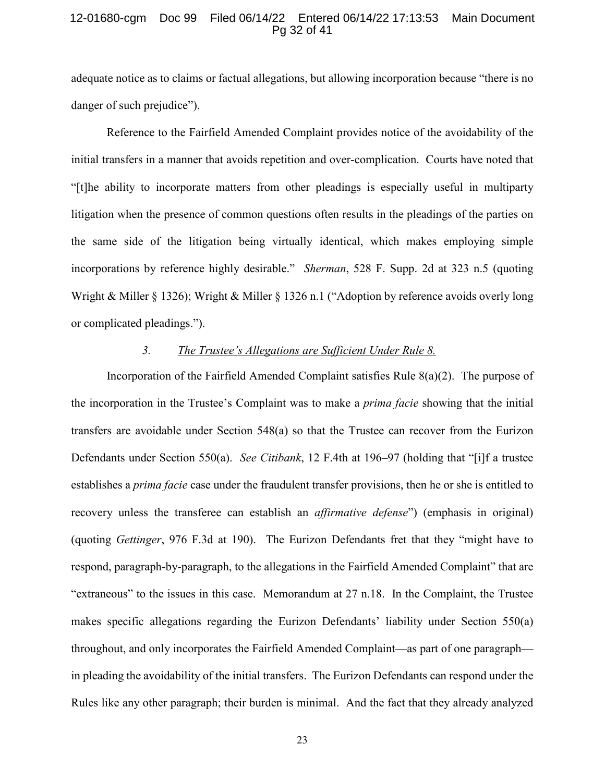#### 12-01680-cgm Doc 99 Filed 06/14/22 Entered 06/14/22 17:13:53 Main Document Pg 32 of 41

adequate notice as to claims or factual allegations, but allowing incorporation because "there is no danger of such prejudice").

Reference to the Fairfield Amended Complaint provides notice of the avoidability of the initial transfers in a manner that avoids repetition and over-complication. Courts have noted that "[t]he ability to incorporate matters from other pleadings is especially useful in multiparty litigation when the presence of common questions often results in the pleadings of the parties on the same side of the litigation being virtually identical, which makes employing simple incorporations by reference highly desirable." *Sherman*, 528 F. Supp. 2d at 323 n.5 (quoting Wright & Miller § 1326); Wright & Miller § 1326 n.1 ("Adoption by reference avoids overly long or complicated pleadings.").

## <span id="page-31-1"></span><span id="page-31-0"></span>*3. The Trustee's Allegations are Sufficient Under Rule 8.*

Incorporation of the Fairfield Amended Complaint satisfies Rule 8(a)(2). The purpose of the incorporation in the Trustee's Complaint was to make a *prima facie* showing that the initial transfers are avoidable under Section 548(a) so that the Trustee can recover from the Eurizon Defendants under Section 550(a). *See Citibank*, 12 F.4th at 196–97 (holding that "[i]f a trustee establishes a *prima facie* case under the fraudulent transfer provisions, then he or she is entitled to recovery unless the transferee can establish an *affirmative defense*") (emphasis in original) (quoting *Gettinger*, 976 F.3d at 190). The Eurizon Defendants fret that they "might have to respond, paragraph-by-paragraph, to the allegations in the Fairfield Amended Complaint" that are "extraneous" to the issues in this case. Memorandum at 27 n.18. In the Complaint, the Trustee makes specific allegations regarding the Eurizon Defendants' liability under Section 550(a) throughout, and only incorporates the Fairfield Amended Complaint—as part of one paragraph in pleading the avoidability of the initial transfers. The Eurizon Defendants can respond under the Rules like any other paragraph; their burden is minimal. And the fact that they already analyzed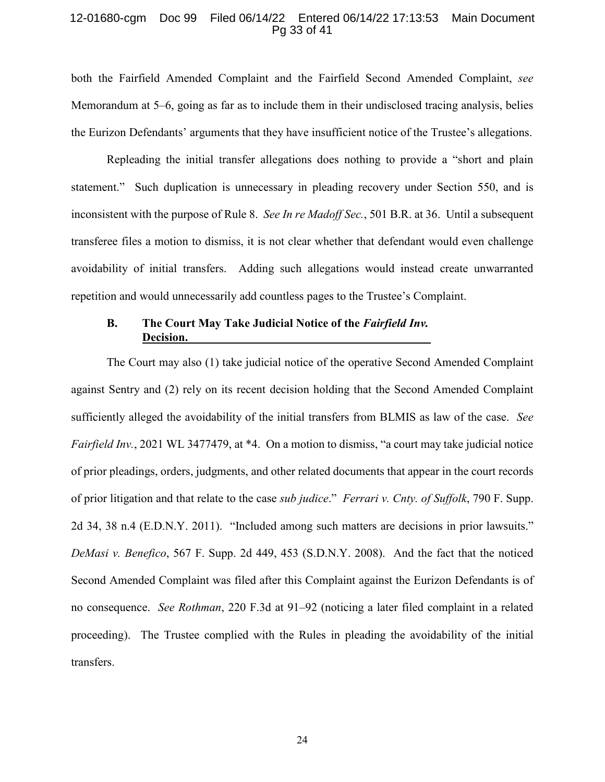#### 12-01680-cgm Doc 99 Filed 06/14/22 Entered 06/14/22 17:13:53 Main Document Pg 33 of 41

both the Fairfield Amended Complaint and the Fairfield Second Amended Complaint, *see* Memorandum at 5–6, going as far as to include them in their undisclosed tracing analysis, belies the Eurizon Defendants' arguments that they have insufficient notice of the Trustee's allegations.

Repleading the initial transfer allegations does nothing to provide a "short and plain statement." Such duplication is unnecessary in pleading recovery under Section 550, and is inconsistent with the purpose of Rule 8. *See In re Madoff Sec.*, 501 B.R. at 36. Until a subsequent transferee files a motion to dismiss, it is not clear whether that defendant would even challenge avoidability of initial transfers. Adding such allegations would instead create unwarranted repetition and would unnecessarily add countless pages to the Trustee's Complaint.

## <span id="page-32-3"></span><span id="page-32-1"></span>**B. The Court May Take Judicial Notice of the** *Fairfield Inv.* **Decision.**

<span id="page-32-2"></span><span id="page-32-0"></span>The Court may also (1) take judicial notice of the operative Second Amended Complaint against Sentry and (2) rely on its recent decision holding that the Second Amended Complaint sufficiently alleged the avoidability of the initial transfers from BLMIS as law of the case. *See Fairfield Inv.*, 2021 WL 3477479, at \*4. On a motion to dismiss, "a court may take judicial notice of prior pleadings, orders, judgments, and other related documents that appear in the court records of prior litigation and that relate to the case *sub judice*." *Ferrari v. Cnty. of Suffolk*, 790 F. Supp. 2d 34, 38 n.4 (E.D.N.Y. 2011). "Included among such matters are decisions in prior lawsuits." *DeMasi v. Benefico*, 567 F. Supp. 2d 449, 453 (S.D.N.Y. 2008). And the fact that the noticed Second Amended Complaint was filed after this Complaint against the Eurizon Defendants is of no consequence. *See Rothman*, 220 F.3d at 91–92 (noticing a later filed complaint in a related proceeding). The Trustee complied with the Rules in pleading the avoidability of the initial transfers.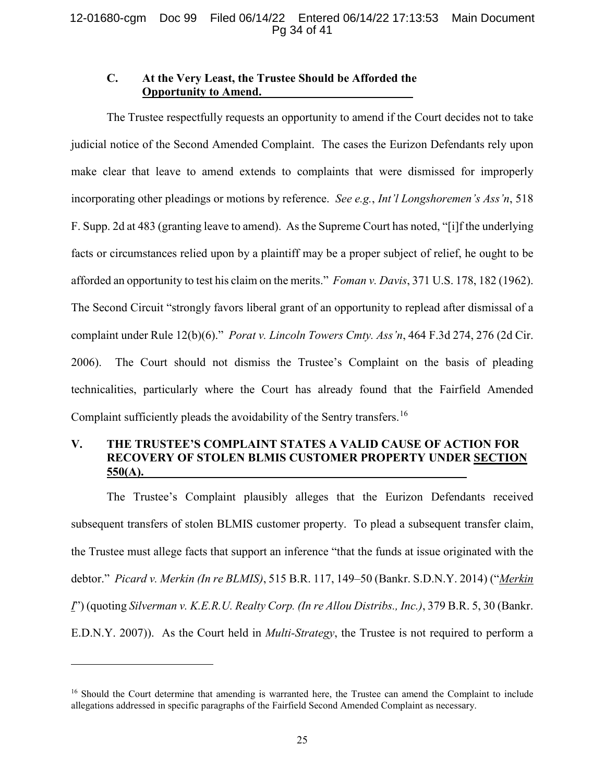## 12-01680-cgm Doc 99 Filed 06/14/22 Entered 06/14/22 17:13:53 Main Document Pg 34 of 41

## <span id="page-33-2"></span><span id="page-33-0"></span>**C. At the Very Least, the Trustee Should be Afforded the Opportunity to Amend.**

The Trustee respectfully requests an opportunity to amend if the Court decides not to take judicial notice of the Second Amended Complaint. The cases the Eurizon Defendants rely upon make clear that leave to amend extends to complaints that were dismissed for improperly incorporating other pleadings or motions by reference. *See e.g.*, *Int'l Longshoremen's Ass'n*, 518 F. Supp. 2d at 483 (granting leave to amend). As the Supreme Court has noted, "[i]f the underlying facts or circumstances relied upon by a plaintiff may be a proper subject of relief, he ought to be afforded an opportunity to test his claim on the merits." *Foman v. Davis*, 371 U.S. 178, 182 (1962). The Second Circuit "strongly favors liberal grant of an opportunity to replead after dismissal of a complaint under Rule 12(b)(6)." *Porat v. Lincoln Towers Cmty. Ass'n*, 464 F.3d 274, 276 (2d Cir. 2006). The Court should not dismiss the Trustee's Complaint on the basis of pleading technicalities, particularly where the Court has already found that the Fairfield Amended Complaint sufficiently pleads the avoidability of the Sentry transfers.[16](#page-33-3)

# <span id="page-33-1"></span>**V. THE TRUSTEE'S COMPLAINT STATES A VALID CAUSE OF ACTION FOR RECOVERY OF STOLEN BLMIS CUSTOMER PROPERTY UNDER SECTION 550(A).**

The Trustee's Complaint plausibly alleges that the Eurizon Defendants received subsequent transfers of stolen BLMIS customer property. To plead a subsequent transfer claim, the Trustee must allege facts that support an inference "that the funds at issue originated with the debtor." *Picard v. Merkin (In re BLMIS)*, 515 B.R. 117, 149–50 (Bankr. S.D.N.Y. 2014) ("*Merkin I*") (quoting *Silverman v. K.E.R.U. Realty Corp. (In re Allou Distribs., Inc.)*, 379 B.R. 5, 30 (Bankr. E.D.N.Y. 2007)). As the Court held in *Multi-Strategy*, the Trustee is not required to perform a

 $\overline{a}$ 

<span id="page-33-3"></span><sup>&</sup>lt;sup>16</sup> Should the Court determine that amending is warranted here, the Trustee can amend the Complaint to include allegations addressed in specific paragraphs of the Fairfield Second Amended Complaint as necessary.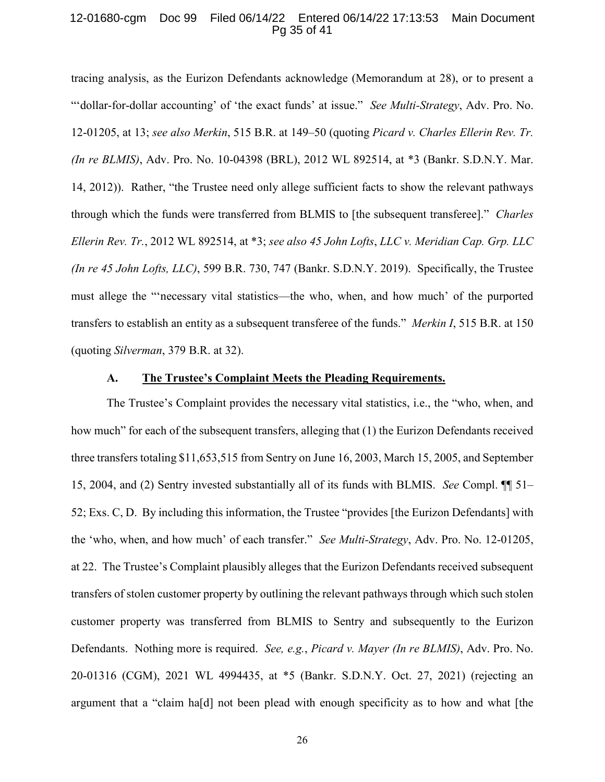#### 12-01680-cgm Doc 99 Filed 06/14/22 Entered 06/14/22 17:13:53 Main Document Pg 35 of 41

<span id="page-34-3"></span><span id="page-34-1"></span>tracing analysis, as the Eurizon Defendants acknowledge (Memorandum at 28), or to present a "'dollar-for-dollar accounting' of 'the exact funds' at issue." *See Multi-Strategy*, Adv. Pro. No. 12-01205, at 13; *see also Merkin*, 515 B.R. at 149–50 (quoting *Picard v. Charles Ellerin Rev. Tr. (In re BLMIS)*, Adv. Pro. No. 10-04398 (BRL), 2012 WL 892514, at \*3 (Bankr. S.D.N.Y. Mar. 14, 2012)). Rather, "the Trustee need only allege sufficient facts to show the relevant pathways through which the funds were transferred from BLMIS to [the subsequent transferee]." *Charles Ellerin Rev. Tr.*, 2012 WL 892514, at \*3; *see also 45 John Lofts*, *LLC v. Meridian Cap. Grp. LLC (In re 45 John Lofts, LLC)*, 599 B.R. 730, 747 (Bankr. S.D.N.Y. 2019). Specifically, the Trustee must allege the "'necessary vital statistics—the who, when, and how much' of the purported transfers to establish an entity as a subsequent transferee of the funds." *Merkin I*, 515 B.R. at 150 (quoting *Silverman*, 379 B.R. at 32).

## <span id="page-34-2"></span><span id="page-34-0"></span>**A. The Trustee's Complaint Meets the Pleading Requirements.**

The Trustee's Complaint provides the necessary vital statistics, i.e., the "who, when, and how much" for each of the subsequent transfers, alleging that (1) the Eurizon Defendants received three transfers totaling \$11,653,515 from Sentry on June 16, 2003, March 15, 2005, and September 15, 2004, and (2) Sentry invested substantially all of its funds with BLMIS. *See* Compl. ¶¶ 51– 52; Exs. C, D. By including this information, the Trustee "provides [the Eurizon Defendants] with the 'who, when, and how much' of each transfer." *See Multi-Strategy*, Adv. Pro. No. 12-01205, at 22. The Trustee's Complaint plausibly alleges that the Eurizon Defendants received subsequent transfers of stolen customer property by outlining the relevant pathways through which such stolen customer property was transferred from BLMIS to Sentry and subsequently to the Eurizon Defendants. Nothing more is required. *See, e.g.*, *Picard v. Mayer (In re BLMIS)*, Adv. Pro. No. 20-01316 (CGM), 2021 WL 4994435, at \*5 (Bankr. S.D.N.Y. Oct. 27, 2021) (rejecting an argument that a "claim ha[d] not been plead with enough specificity as to how and what [the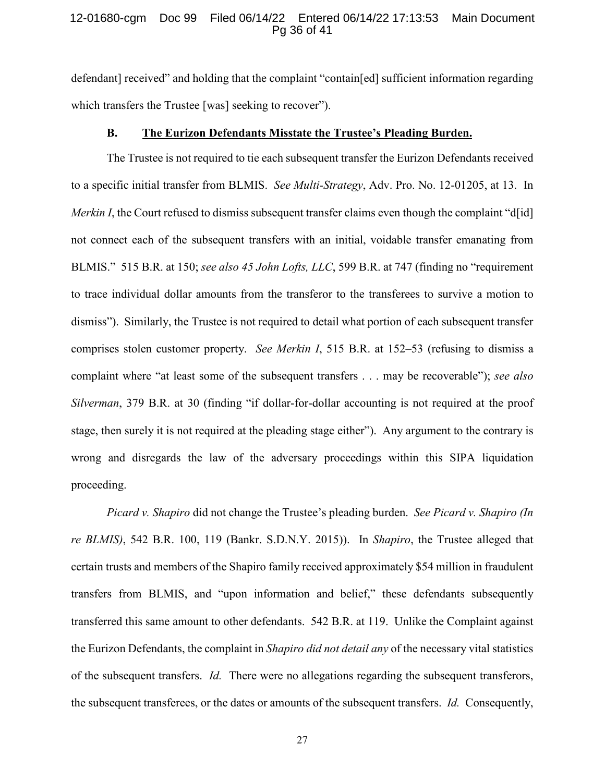#### 12-01680-cgm Doc 99 Filed 06/14/22 Entered 06/14/22 17:13:53 Main Document Pg 36 of 41

defendant] received" and holding that the complaint "contain[ed] sufficient information regarding which transfers the Trustee [was] seeking to recover").

## <span id="page-35-0"></span>**B. The Eurizon Defendants Misstate the Trustee's Pleading Burden.**

The Trustee is not required to tie each subsequent transfer the Eurizon Defendants received to a specific initial transfer from BLMIS. *See Multi-Strategy*, Adv. Pro. No. 12-01205, at 13. In *Merkin I*, the Court refused to dismiss subsequent transfer claims even though the complaint "d[id] not connect each of the subsequent transfers with an initial, voidable transfer emanating from BLMIS." 515 B.R. at 150; *see also 45 John Lofts, LLC*, 599 B.R. at 747 (finding no "requirement to trace individual dollar amounts from the transferor to the transferees to survive a motion to dismiss"). Similarly, the Trustee is not required to detail what portion of each subsequent transfer comprises stolen customer property. *See Merkin I*, 515 B.R. at 152–53 (refusing to dismiss a complaint where "at least some of the subsequent transfers . . . may be recoverable"); *see also Silverman*, 379 B.R. at 30 (finding "if dollar-for-dollar accounting is not required at the proof stage, then surely it is not required at the pleading stage either"). Any argument to the contrary is wrong and disregards the law of the adversary proceedings within this SIPA liquidation proceeding.

<span id="page-35-2"></span><span id="page-35-1"></span>*Picard v. Shapiro* did not change the Trustee's pleading burden. *See Picard v. Shapiro (In re BLMIS)*, 542 B.R. 100, 119 (Bankr. S.D.N.Y. 2015)). In *Shapiro*, the Trustee alleged that certain trusts and members of the Shapiro family received approximately \$54 million in fraudulent transfers from BLMIS, and "upon information and belief," these defendants subsequently transferred this same amount to other defendants. 542 B.R. at 119. Unlike the Complaint against the Eurizon Defendants, the complaint in *Shapiro did not detail any* of the necessary vital statistics of the subsequent transfers. *Id.* There were no allegations regarding the subsequent transferors, the subsequent transferees, or the dates or amounts of the subsequent transfers. *Id.* Consequently,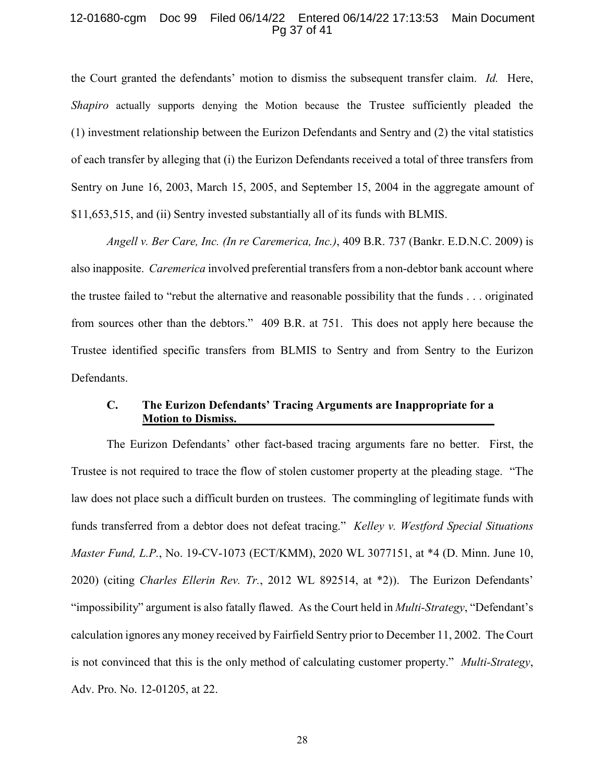#### 12-01680-cgm Doc 99 Filed 06/14/22 Entered 06/14/22 17:13:53 Main Document Pg 37 of 41

<span id="page-36-2"></span>the Court granted the defendants' motion to dismiss the subsequent transfer claim. *Id.* Here, *Shapiro* actually supports denying the Motion because the Trustee sufficiently pleaded the (1) investment relationship between the Eurizon Defendants and Sentry and (2) the vital statistics of each transfer by alleging that (i) the Eurizon Defendants received a total of three transfers from Sentry on June 16, 2003, March 15, 2005, and September 15, 2004 in the aggregate amount of \$11,653,515, and (ii) Sentry invested substantially all of its funds with BLMIS.

<span id="page-36-0"></span>*Angell v. Ber Care, Inc. (In re Caremerica, Inc.)*, 409 B.R. 737 (Bankr. E.D.N.C. 2009) is also inapposite. *Caremerica* involved preferential transfers from a non-debtor bank account where the trustee failed to "rebut the alternative and reasonable possibility that the funds . . . originated from sources other than the debtors." 409 B.R. at 751. This does not apply here because the Trustee identified specific transfers from BLMIS to Sentry and from Sentry to the Eurizon Defendants.

## <span id="page-36-1"></span>**C. The Eurizon Defendants' Tracing Arguments are Inappropriate for a Motion to Dismiss.**

The Eurizon Defendants' other fact-based tracing arguments fare no better. First, the Trustee is not required to trace the flow of stolen customer property at the pleading stage. "The law does not place such a difficult burden on trustees. The commingling of legitimate funds with funds transferred from a debtor does not defeat tracing." *Kelley v. Westford Special Situations Master Fund, L.P.*, No. 19-CV-1073 (ECT/KMM), 2020 WL 3077151, at \*4 (D. Minn. June 10, 2020) (citing *Charles Ellerin Rev. Tr.*, 2012 WL 892514, at \*2)). The Eurizon Defendants' "impossibility" argument is also fatally flawed. As the Court held in *Multi-Strategy*, "Defendant's calculation ignores any money received by Fairfield Sentry prior to December 11, 2002. The Court is not convinced that this is the only method of calculating customer property." *Multi-Strategy*, Adv. Pro. No. 12-01205, at 22.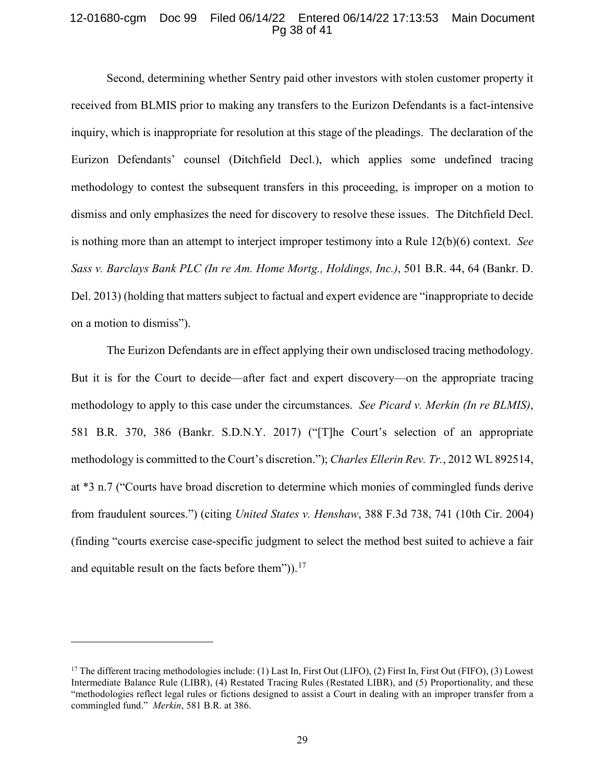#### 12-01680-cgm Doc 99 Filed 06/14/22 Entered 06/14/22 17:13:53 Main Document Pg 38 of 41

Second, determining whether Sentry paid other investors with stolen customer property it received from BLMIS prior to making any transfers to the Eurizon Defendants is a fact-intensive inquiry, which is inappropriate for resolution at this stage of the pleadings. The declaration of the Eurizon Defendants' counsel (Ditchfield Decl.), which applies some undefined tracing methodology to contest the subsequent transfers in this proceeding, is improper on a motion to dismiss and only emphasizes the need for discovery to resolve these issues. The Ditchfield Decl. is nothing more than an attempt to interject improper testimony into a Rule 12(b)(6) context. *See Sass v. Barclays Bank PLC (In re Am. Home Mortg., Holdings, Inc.)*, 501 B.R. 44, 64 (Bankr. D. Del. 2013) (holding that matters subject to factual and expert evidence are "inappropriate to decide on a motion to dismiss").

<span id="page-37-2"></span><span id="page-37-1"></span><span id="page-37-0"></span>The Eurizon Defendants are in effect applying their own undisclosed tracing methodology. But it is for the Court to decide—after fact and expert discovery—on the appropriate tracing methodology to apply to this case under the circumstances. *See Picard v. Merkin (In re BLMIS)*, 581 B.R. 370, 386 (Bankr. S.D.N.Y. 2017) ("[T]he Court's selection of an appropriate methodology is committed to the Court's discretion."); *Charles Ellerin Rev. Tr.*, 2012 WL 892514, at \*3 n.7 ("Courts have broad discretion to determine which monies of commingled funds derive from fraudulent sources.") (citing *United States v. Henshaw*, 388 F.3d 738, 741 (10th Cir. 2004) (finding "courts exercise case-specific judgment to select the method best suited to achieve a fair and equitable result on the facts before them")). $17$ 

 $\overline{a}$ 

<span id="page-37-3"></span><sup>&</sup>lt;sup>17</sup> The different tracing methodologies include: (1) Last In, First Out (LIFO), (2) First In, First Out (FIFO), (3) Lowest Intermediate Balance Rule (LIBR), (4) Restated Tracing Rules (Restated LIBR), and (5) Proportionality, and these "methodologies reflect legal rules or fictions designed to assist a Court in dealing with an improper transfer from a commingled fund." *Merkin*, 581 B.R. at 386.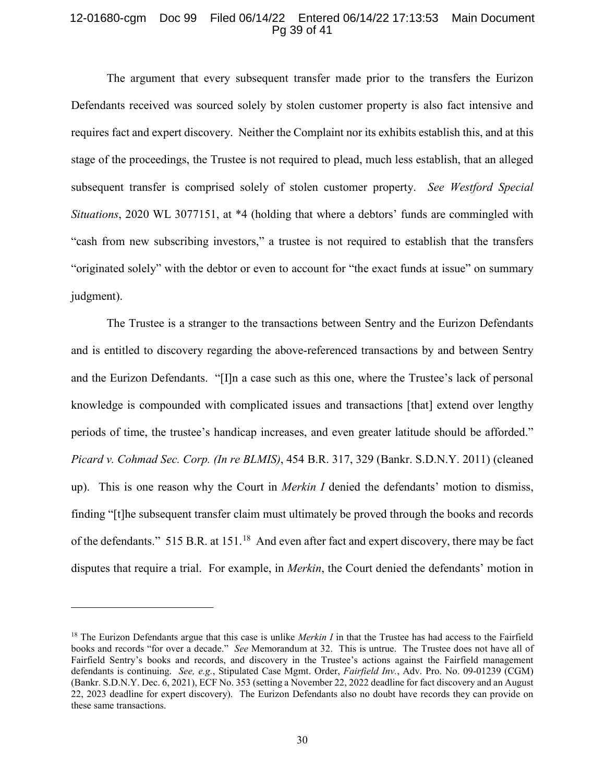#### 12-01680-cgm Doc 99 Filed 06/14/22 Entered 06/14/22 17:13:53 Main Document Pg 39 of 41

<span id="page-38-0"></span>The argument that every subsequent transfer made prior to the transfers the Eurizon Defendants received was sourced solely by stolen customer property is also fact intensive and requires fact and expert discovery. Neither the Complaint nor its exhibits establish this, and at this stage of the proceedings, the Trustee is not required to plead, much less establish, that an alleged subsequent transfer is comprised solely of stolen customer property. *See Westford Special Situations*, 2020 WL 3077151, at \*4 (holding that where a debtors' funds are commingled with "cash from new subscribing investors," a trustee is not required to establish that the transfers "originated solely" with the debtor or even to account for "the exact funds at issue" on summary judgment).

The Trustee is a stranger to the transactions between Sentry and the Eurizon Defendants and is entitled to discovery regarding the above-referenced transactions by and between Sentry and the Eurizon Defendants. "[I]n a case such as this one, where the Trustee's lack of personal knowledge is compounded with complicated issues and transactions [that] extend over lengthy periods of time, the trustee's handicap increases, and even greater latitude should be afforded." *Picard v. Cohmad Sec. Corp. (In re BLMIS)*, 454 B.R. 317, 329 (Bankr. S.D.N.Y. 2011) (cleaned up). This is one reason why the Court in *Merkin I* denied the defendants' motion to dismiss, finding "[t]he subsequent transfer claim must ultimately be proved through the books and records of the defendants." 515 B.R. at 151.<sup>18</sup> And even after fact and expert discovery, there may be fact disputes that require a trial. For example, in *Merkin*, the Court denied the defendants' motion in

<span id="page-38-1"></span> $\ddot{\phantom{a}}$ 

<span id="page-38-2"></span><sup>&</sup>lt;sup>18</sup> The Eurizon Defendants argue that this case is unlike *Merkin I* in that the Trustee has had access to the Fairfield books and records "for over a decade." *See* Memorandum at 32. This is untrue. The Trustee does not have all of Fairfield Sentry's books and records, and discovery in the Trustee's actions against the Fairfield management defendants is continuing. *See, e.g.*, Stipulated Case Mgmt. Order, *Fairfield Inv.*, Adv. Pro. No. 09-01239 (CGM) (Bankr. S.D.N.Y. Dec. 6, 2021), ECF No. 353 (setting a November 22, 2022 deadline for fact discovery and an August 22, 2023 deadline for expert discovery). The Eurizon Defendants also no doubt have records they can provide on these same transactions.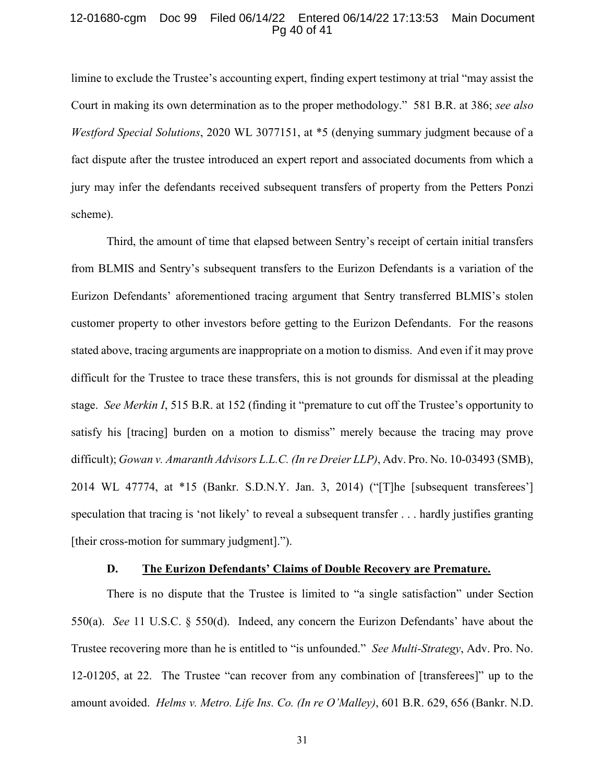#### 12-01680-cgm Doc 99 Filed 06/14/22 Entered 06/14/22 17:13:53 Main Document Pg 40 of 41

<span id="page-39-3"></span><span id="page-39-2"></span>limine to exclude the Trustee's accounting expert, finding expert testimony at trial "may assist the Court in making its own determination as to the proper methodology." 581 B.R. at 386; *see also Westford Special Solutions*, 2020 WL 3077151, at \*5 (denying summary judgment because of a fact dispute after the trustee introduced an expert report and associated documents from which a jury may infer the defendants received subsequent transfers of property from the Petters Ponzi scheme).

Third, the amount of time that elapsed between Sentry's receipt of certain initial transfers from BLMIS and Sentry's subsequent transfers to the Eurizon Defendants is a variation of the Eurizon Defendants' aforementioned tracing argument that Sentry transferred BLMIS's stolen customer property to other investors before getting to the Eurizon Defendants. For the reasons stated above, tracing arguments are inappropriate on a motion to dismiss. And even if it may prove difficult for the Trustee to trace these transfers, this is not grounds for dismissal at the pleading stage. *See Merkin I*, 515 B.R. at 152 (finding it "premature to cut off the Trustee's opportunity to satisfy his [tracing] burden on a motion to dismiss" merely because the tracing may prove difficult); *Gowan v. Amaranth Advisors L.L.C. (In re Dreier LLP)*, Adv. Pro. No. 10-03493 (SMB), 2014 WL 47774, at \*15 (Bankr. S.D.N.Y. Jan. 3, 2014) ("[T]he [subsequent transferees'] speculation that tracing is 'not likely' to reveal a subsequent transfer . . . hardly justifies granting [their cross-motion for summary judgment].").

#### <span id="page-39-4"></span><span id="page-39-0"></span>**D. The Eurizon Defendants' Claims of Double Recovery are Premature.**

<span id="page-39-1"></span>There is no dispute that the Trustee is limited to "a single satisfaction" under Section 550(a). *See* 11 U.S.C. § 550(d). Indeed, any concern the Eurizon Defendants' have about the Trustee recovering more than he is entitled to "is unfounded." *See Multi-Strategy*, Adv. Pro. No. 12-01205, at 22. The Trustee "can recover from any combination of [transferees]" up to the amount avoided. *Helms v. Metro. Life Ins. Co. (In re O'Malley)*, 601 B.R. 629, 656 (Bankr. N.D.